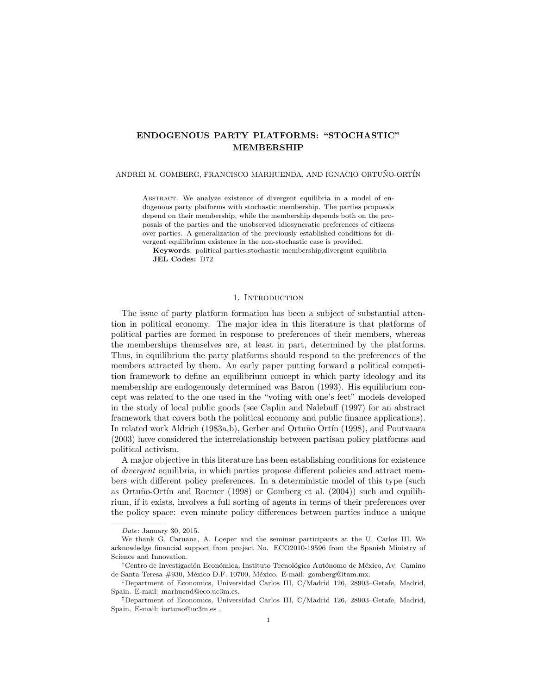# ENDOGENOUS PARTY PLATFORMS: "STOCHASTIC" MEMBERSHIP

# ANDREI M. GOMBERG, FRANCISCO MARHUENDA, AND IGNACIO ORTUÑO-ORTÍN

ABSTRACT. We analyze existence of divergent equilibria in a model of endogenous party platforms with stochastic membership. The parties proposals depend on their membership, while the membership depends both on the proposals of the parties and the unobserved idiosyncratic preferences of citizens over parties. A generalization of the previously established conditions for divergent equilibrium existence in the non-stochastic case is provided.

Keywords: political parties;stochastic membership;divergent equilibria JEL Codes: D72

## 1. INTRODUCTION

The issue of party platform formation has been a subject of substantial attention in political economy. The major idea in this literature is that platforms of political parties are formed in response to preferences of their members, whereas the memberships themselves are, at least in part, determined by the platforms. Thus, in equilibrium the party platforms should respond to the preferences of the members attracted by them. An early paper putting forward a political competition framework to define an equilibrium concept in which party ideology and its membership are endogenously determined was Baron (1993). His equilibrium concept was related to the one used in the "voting with one's feet" models developed in the study of local public goods (see Caplin and Nalebuff (1997) for an abstract framework that covers both the political economy and public finance applications). In related work Aldrich (1983a,b), Gerber and Ortuño Ortín (1998), and Poutvaara (2003) have considered the interrelationship between partisan policy platforms and political activism.

A major objective in this literature has been establishing conditions for existence of divergent equilibria, in which parties propose different policies and attract members with different policy preferences. In a deterministic model of this type (such as Ortuño-Ortín and Roemer (1998) or Gomberg et al.  $(2004)$ ) such and equilibrium, if it exists, involves a full sorting of agents in terms of their preferences over the policy space: even minute policy differences between parties induce a unique

Date: January 30, 2015.

We thank G. Caruana, A. Loeper and the seminar participants at the U. Carlos III. We acknowledge financial support from project No. ECO2010-19596 from the Spanish Ministry of Science and Innovation.

<sup>&</sup>lt;sup>†</sup>Centro de Investigación Económica, Instituto Tecnológico Autónomo de México, Av. Camino de Santa Teresa #930, México D.F. 10700, México. E-mail: gomberg@itam.mx.

<sup>‡</sup>Department of Economics, Universidad Carlos III, C/Madrid 126, 28903–Getafe, Madrid, Spain. E-mail: marhuend@eco.uc3m.es.

<sup>‡</sup>Department of Economics, Universidad Carlos III, C/Madrid 126, 28903–Getafe, Madrid, Spain. E-mail: iortuno@uc3m.es .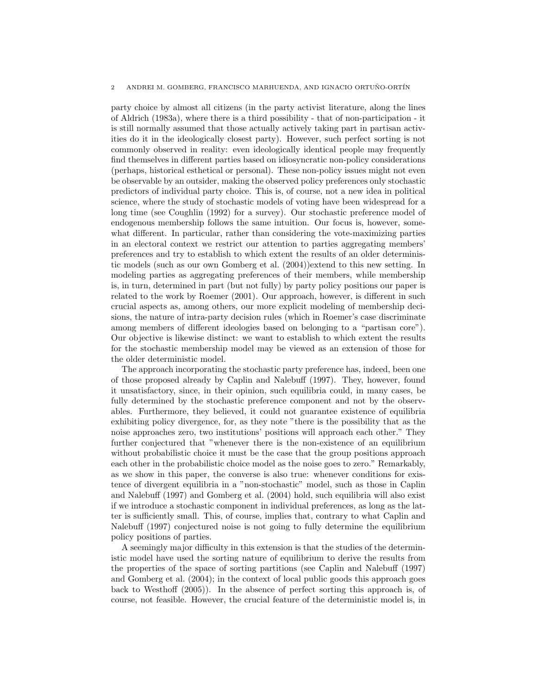## 2 ANDREI M. GOMBERG, FRANCISCO MARHUENDA, AND IGNACIO ORTUÑO-ORTÍN

party choice by almost all citizens (in the party activist literature, along the lines of Aldrich (1983a), where there is a third possibility - that of non-participation - it is still normally assumed that those actually actively taking part in partisan activities do it in the ideologically closest party). However, such perfect sorting is not commonly observed in reality: even ideologically identical people may frequently find themselves in different parties based on idiosyncratic non-policy considerations (perhaps, historical esthetical or personal). These non-policy issues might not even be observable by an outsider, making the observed policy preferences only stochastic predictors of individual party choice. This is, of course, not a new idea in political science, where the study of stochastic models of voting have been widespread for a long time (see Coughlin (1992) for a survey). Our stochastic preference model of endogenous membership follows the same intuition. Our focus is, however, somewhat different. In particular, rather than considering the vote-maximizing parties in an electoral context we restrict our attention to parties aggregating members' preferences and try to establish to which extent the results of an older deterministic models (such as our own Gomberg et al. (2004))extend to this new setting. In modeling parties as aggregating preferences of their members, while membership is, in turn, determined in part (but not fully) by party policy positions our paper is related to the work by Roemer (2001). Our approach, however, is different in such crucial aspects as, among others, our more explicit modeling of membership decisions, the nature of intra-party decision rules (which in Roemer's case discriminate among members of different ideologies based on belonging to a "partisan core"). Our objective is likewise distinct: we want to establish to which extent the results for the stochastic membership model may be viewed as an extension of those for the older deterministic model.

The approach incorporating the stochastic party preference has, indeed, been one of those proposed already by Caplin and Nalebuff (1997). They, however, found it unsatisfactory, since, in their opinion, such equilibria could, in many cases, be fully determined by the stochastic preference component and not by the observables. Furthermore, they believed, it could not guarantee existence of equilibria exhibiting policy divergence, for, as they note "there is the possibility that as the noise approaches zero, two institutions' positions will approach each other." They further conjectured that "whenever there is the non-existence of an equilibrium without probabilistic choice it must be the case that the group positions approach each other in the probabilistic choice model as the noise goes to zero." Remarkably, as we show in this paper, the converse is also true: whenever conditions for existence of divergent equilibria in a "non-stochastic" model, such as those in Caplin and Nalebuff (1997) and Gomberg et al. (2004) hold, such equilibria will also exist if we introduce a stochastic component in individual preferences, as long as the latter is sufficiently small. This, of course, implies that, contrary to what Caplin and Nalebuff (1997) conjectured noise is not going to fully determine the equilibrium policy positions of parties.

A seemingly major difficulty in this extension is that the studies of the deterministic model have used the sorting nature of equilibrium to derive the results from the properties of the space of sorting partitions (see Caplin and Nalebuff (1997) and Gomberg et al. (2004); in the context of local public goods this approach goes back to Westhoff (2005)). In the absence of perfect sorting this approach is, of course, not feasible. However, the crucial feature of the deterministic model is, in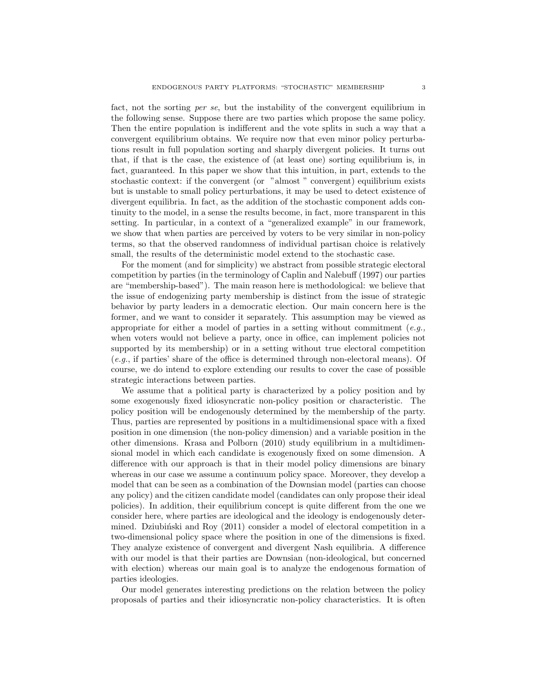fact, not the sorting per se, but the instability of the convergent equilibrium in the following sense. Suppose there are two parties which propose the same policy. Then the entire population is indifferent and the vote splits in such a way that a convergent equilibrium obtains. We require now that even minor policy perturbations result in full population sorting and sharply divergent policies. It turns out that, if that is the case, the existence of (at least one) sorting equilibrium is, in fact, guaranteed. In this paper we show that this intuition, in part, extends to the stochastic context: if the convergent (or "almost " convergent) equilibrium exists but is unstable to small policy perturbations, it may be used to detect existence of divergent equilibria. In fact, as the addition of the stochastic component adds continuity to the model, in a sense the results become, in fact, more transparent in this setting. In particular, in a context of a "generalized example" in our framework, we show that when parties are perceived by voters to be very similar in non-policy terms, so that the observed randomness of individual partisan choice is relatively small, the results of the deterministic model extend to the stochastic case.

For the moment (and for simplicity) we abstract from possible strategic electoral competition by parties (in the terminology of Caplin and Nalebuff (1997) our parties are "membership-based"). The main reason here is methodological: we believe that the issue of endogenizing party membership is distinct from the issue of strategic behavior by party leaders in a democratic election. Our main concern here is the former, and we want to consider it separately. This assumption may be viewed as appropriate for either a model of parties in a setting without commitment  $(e.g.,)$ when voters would not believe a party, once in office, can implement policies not supported by its membership) or in a setting without true electoral competition (e.g., if parties' share of the office is determined through non-electoral means). Of course, we do intend to explore extending our results to cover the case of possible strategic interactions between parties.

We assume that a political party is characterized by a policy position and by some exogenously fixed idiosyncratic non-policy position or characteristic. The policy position will be endogenously determined by the membership of the party. Thus, parties are represented by positions in a multidimensional space with a fixed position in one dimension (the non-policy dimension) and a variable position in the other dimensions. Krasa and Polborn (2010) study equilibrium in a multidimensional model in which each candidate is exogenously fixed on some dimension. A difference with our approach is that in their model policy dimensions are binary whereas in our case we assume a continuum policy space. Moreover, they develop a model that can be seen as a combination of the Downsian model (parties can choose any policy) and the citizen candidate model (candidates can only propose their ideal policies). In addition, their equilibrium concept is quite different from the one we consider here, where parties are ideological and the ideology is endogenously determined. Dziubiński and Roy  $(2011)$  consider a model of electoral competition in a two-dimensional policy space where the position in one of the dimensions is fixed. They analyze existence of convergent and divergent Nash equilibria. A difference with our model is that their parties are Downsian (non-ideological, but concerned with election) whereas our main goal is to analyze the endogenous formation of parties ideologies.

Our model generates interesting predictions on the relation between the policy proposals of parties and their idiosyncratic non-policy characteristics. It is often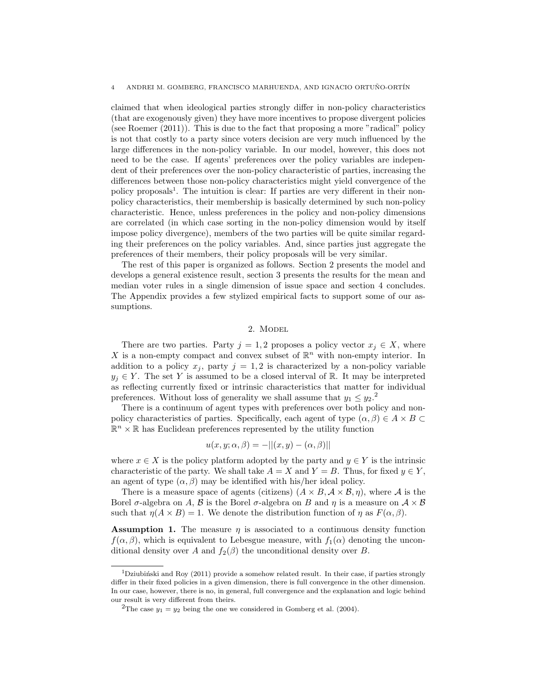#### 4 ANDREI M. GOMBERG, FRANCISCO MARHUENDA, AND IGNACIO ORTUÑO-ORTÍN

claimed that when ideological parties strongly differ in non-policy characteristics (that are exogenously given) they have more incentives to propose divergent policies (see Roemer (2011)). This is due to the fact that proposing a more "radical" policy is not that costly to a party since voters decision are very much influenced by the large differences in the non-policy variable. In our model, however, this does not need to be the case. If agents' preferences over the policy variables are independent of their preferences over the non-policy characteristic of parties, increasing the differences between those non-policy characteristics might yield convergence of the policy proposals<sup>1</sup>. The intuition is clear: If parties are very different in their nonpolicy characteristics, their membership is basically determined by such non-policy characteristic. Hence, unless preferences in the policy and non-policy dimensions are correlated (in which case sorting in the non-policy dimension would by itself impose policy divergence), members of the two parties will be quite similar regarding their preferences on the policy variables. And, since parties just aggregate the preferences of their members, their policy proposals will be very similar.

The rest of this paper is organized as follows. Section 2 presents the model and develops a general existence result, section 3 presents the results for the mean and median voter rules in a single dimension of issue space and section 4 concludes. The Appendix provides a few stylized empirical facts to support some of our assumptions.

# 2. Model

There are two parties. Party  $j = 1, 2$  proposes a policy vector  $x_j \in X$ , where X is a non-empty compact and convex subset of  $\mathbb{R}^n$  with non-empty interior. In addition to a policy  $x_j$ , party  $j = 1, 2$  is characterized by a non-policy variable  $y_j \in Y$ . The set Y is assumed to be a closed interval of R. It may be interpreted as reflecting currently fixed or intrinsic characteristics that matter for individual preferences. Without loss of generality we shall assume that  $y_1 \leq y_2$ .<sup>2</sup>

There is a continuum of agent types with preferences over both policy and nonpolicy characteristics of parties. Specifically, each agent of type  $(\alpha, \beta) \in A \times B$  $\mathbb{R}^n \times \mathbb{R}$  has Euclidean preferences represented by the utility function

$$
u(x, y; \alpha, \beta) = -|| (x, y) - (\alpha, \beta)||
$$

where  $x \in X$  is the policy platform adopted by the party and  $y \in Y$  is the intrinsic characteristic of the party. We shall take  $A = X$  and  $Y = B$ . Thus, for fixed  $y \in Y$ , an agent of type  $(\alpha, \beta)$  may be identified with his/her ideal policy.

There is a measure space of agents (citizens)  $(A \times B, \mathcal{A} \times \mathcal{B}, \eta)$ , where A is the Borel  $\sigma$ -algebra on A, B is the Borel  $\sigma$ -algebra on B and  $\eta$  is a measure on  $\mathcal{A} \times \mathcal{B}$ such that  $\eta(A \times B) = 1$ . We denote the distribution function of  $\eta$  as  $F(\alpha, \beta)$ .

**Assumption 1.** The measure  $\eta$  is associated to a continuous density function  $f(\alpha, \beta)$ , which is equivalent to Lebesgue measure, with  $f_1(\alpha)$  denoting the unconditional density over A and  $f_2(\beta)$  the unconditional density over B.

<sup>&</sup>lt;sup>1</sup>Dziubiński and Roy (2011) provide a somehow related result. In their case, if parties strongly differ in their fixed policies in a given dimension, there is full convergence in the other dimension. In our case, however, there is no, in general, full convergence and the explanation and logic behind our result is very different from theirs.

<sup>&</sup>lt;sup>2</sup>The case  $y_1 = y_2$  being the one we considered in Gomberg et al. (2004).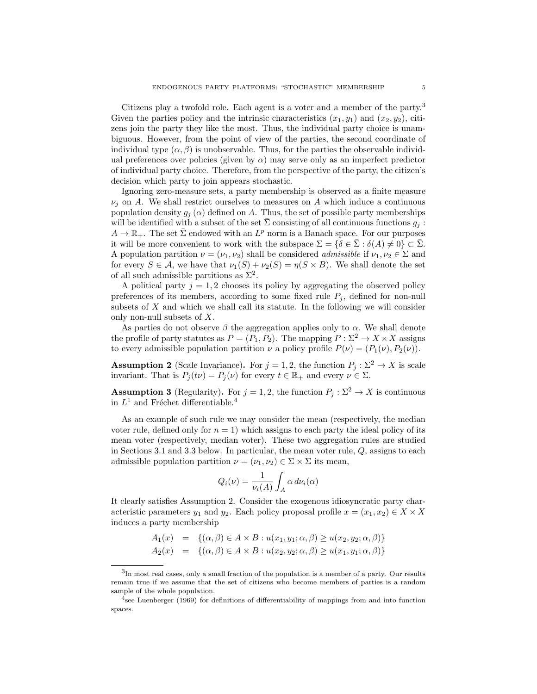Citizens play a twofold role. Each agent is a voter and a member of the party.<sup>3</sup> Given the parties policy and the intrinsic characteristics  $(x_1, y_1)$  and  $(x_2, y_2)$ , citizens join the party they like the most. Thus, the individual party choice is unambiguous. However, from the point of view of the parties, the second coordinate of individual type  $(\alpha, \beta)$  is unobservable. Thus, for the parties the observable individual preferences over policies (given by  $\alpha$ ) may serve only as an imperfect predictor of individual party choice. Therefore, from the perspective of the party, the citizen's decision which party to join appears stochastic.

Ignoring zero-measure sets, a party membership is observed as a finite measure  $\nu_i$  on A. We shall restrict ourselves to measures on A which induce a continuous population density  $g_i(\alpha)$  defined on A. Thus, the set of possible party memberships will be identified with a subset of the set  $\bar{\Sigma}$  consisting of all continuous functions  $q_i$ :  $A \to \mathbb{R}_+$ . The set  $\bar{\Sigma}$  endowed with an  $L^p$  norm is a Banach space. For our purposes it will be more convenient to work with the subspace  $\Sigma = \{\delta \in \bar{\Sigma} : \delta(A) \neq 0\} \subset \bar{\Sigma}$ . A population partition  $\nu = (\nu_1, \nu_2)$  shall be considered *admissible* if  $\nu_1, \nu_2 \in \Sigma$  and for every  $S \in \mathcal{A}$ , we have that  $\nu_1(S) + \nu_2(S) = \eta(S \times B)$ . We shall denote the set of all such admissible partitions as  $\Sigma^2$ .

A political party  $j = 1, 2$  chooses its policy by aggregating the observed policy preferences of its members, according to some fixed rule  $P_j$ , defined for non-null subsets of  $X$  and which we shall call its statute. In the following we will consider only non-null subsets of X.

As parties do not observe  $\beta$  the aggregation applies only to  $\alpha$ . We shall denote the profile of party statutes as  $P = (P_1, P_2)$ . The mapping  $P : \Sigma^2 \to X \times X$  assigns to every admissible population partition  $\nu$  a policy profile  $P(\nu) = (P_1(\nu), P_2(\nu)).$ 

**Assumption 2** (Scale Invariance). For  $j = 1, 2$ , the function  $P_j : \Sigma^2 \to X$  is scale invariant. That is  $P_j(t\nu) = P_j(\nu)$  for every  $t \in \mathbb{R}_+$  and every  $\nu \in \Sigma$ .

**Assumption 3** (Regularity). For  $j = 1, 2$ , the function  $P_j : \Sigma^2 \to X$  is continuous in  $L^1$  and Fréchet differentiable.<sup>4</sup>

As an example of such rule we may consider the mean (respectively, the median voter rule, defined only for  $n = 1$ ) which assigns to each party the ideal policy of its mean voter (respectively, median voter). These two aggregation rules are studied in Sections 3.1 and 3.3 below. In particular, the mean voter rule,  $Q$ , assigns to each admissible population partition  $\nu = (\nu_1, \nu_2) \in \Sigma \times \Sigma$  its mean,

$$
Q_i(\nu) = \frac{1}{\nu_i(A)} \int_A \alpha \, d\nu_i(\alpha)
$$

It clearly satisfies Assumption 2. Consider the exogenous idiosyncratic party characteristic parameters  $y_1$  and  $y_2$ . Each policy proposal profile  $x = (x_1, x_2) \in X \times X$ induces a party membership

$$
A_1(x) = \{ (\alpha, \beta) \in A \times B : u(x_1, y_1; \alpha, \beta) \ge u(x_2, y_2; \alpha, \beta) \}
$$
  

$$
A_2(x) = \{ (\alpha, \beta) \in A \times B : u(x_2, y_2; \alpha, \beta) \ge u(x_1, y_1; \alpha, \beta) \}
$$

 ${}^{3}$ In most real cases, only a small fraction of the population is a member of a party. Our results remain true if we assume that the set of citizens who become members of parties is a random sample of the whole population.

<sup>&</sup>lt;sup>4</sup>see Luenberger (1969) for definitions of differentiability of mappings from and into function spaces.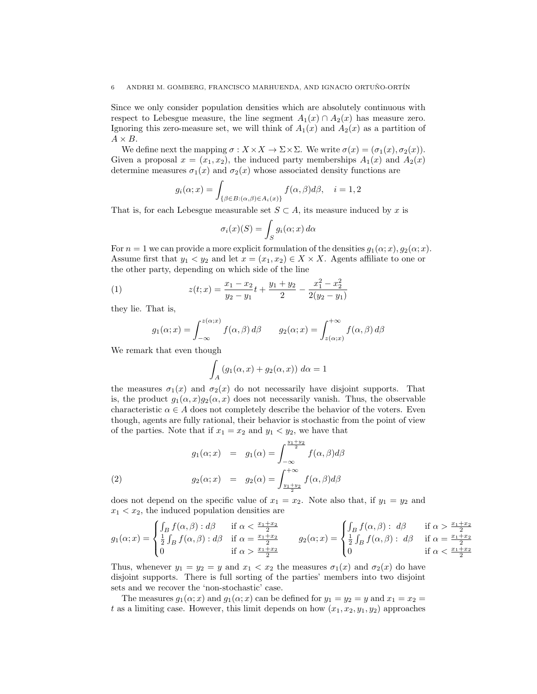Since we only consider population densities which are absolutely continuous with respect to Lebesgue measure, the line segment  $A_1(x) \cap A_2(x)$  has measure zero. Ignoring this zero-measure set, we will think of  $A_1(x)$  and  $A_2(x)$  as a partition of  $A \times B$ .

We define next the mapping  $\sigma: X \times X \to \Sigma \times \Sigma$ . We write  $\sigma(x) = (\sigma_1(x), \sigma_2(x))$ . Given a proposal  $x = (x_1, x_2)$ , the induced party memberships  $A_1(x)$  and  $A_2(x)$ determine measures  $\sigma_1(x)$  and  $\sigma_2(x)$  whose associated density functions are

$$
g_i(\alpha; x) = \int_{\{\beta \in B : (\alpha, \beta) \in A_i(x)\}} f(\alpha, \beta) d\beta, \quad i = 1, 2
$$

That is, for each Lebesgue measurable set  $S \subset A$ , its measure induced by x is

$$
\sigma_i(x)(S) = \int_S g_i(\alpha; x) \, d\alpha
$$

For  $n = 1$  we can provide a more explicit formulation of the densities  $g_1(\alpha; x)$ ,  $g_2(\alpha; x)$ . Assume first that  $y_1 < y_2$  and let  $x = (x_1, x_2) \in X \times X$ . Agents affiliate to one or the other party, depending on which side of the line

(1) 
$$
z(t;x) = \frac{x_1 - x_2}{y_2 - y_1}t + \frac{y_1 + y_2}{2} - \frac{x_1^2 - x_2^2}{2(y_2 - y_1)}
$$

they lie. That is,

$$
g_1(\alpha; x) = \int_{-\infty}^{z(\alpha; x)} f(\alpha, \beta) d\beta \qquad g_2(\alpha; x) = \int_{z(\alpha; x)}^{+\infty} f(\alpha, \beta) d\beta
$$

We remark that even though

$$
\int_A (g_1(\alpha, x) + g_2(\alpha, x)) \ d\alpha = 1
$$

the measures  $\sigma_1(x)$  and  $\sigma_2(x)$  do not necessarily have disjoint supports. That is, the product  $g_1(\alpha, x)g_2(\alpha, x)$  does not necessarily vanish. Thus, the observable characteristic  $\alpha \in A$  does not completely describe the behavior of the voters. Even though, agents are fully rational, their behavior is stochastic from the point of view of the parties. Note that if  $x_1 = x_2$  and  $y_1 < y_2$ , we have that

(2) 
$$
g_1(\alpha; x) = g_1(\alpha) = \int_{-\infty}^{\frac{y_1 + y_2}{2}} f(\alpha, \beta) d\beta
$$

$$
g_2(\alpha; x) = g_2(\alpha) = \int_{\frac{y_1 + y_2}{2}}^{+\infty} f(\alpha, \beta) d\beta
$$

does not depend on the specific value of  $x_1 = x_2$ . Note also that, if  $y_1 = y_2$  and  $x_1 < x_2$ , the induced population densities are

$$
g_1(\alpha; x) = \begin{cases} \int_B f(\alpha, \beta) : d\beta & \text{if } \alpha < \frac{x_1 + x_2}{2} \\ \frac{1}{2} \int_B f(\alpha, \beta) : d\beta & \text{if } \alpha = \frac{x_1 + x_2}{2} \\ 0 & \text{if } \alpha > \frac{x_1 + x_2}{2} \end{cases} \qquad g_2(\alpha; x) = \begin{cases} \int_B f(\alpha, \beta) : d\beta & \text{if } \alpha > \frac{x_1 + x_2}{2} \\ \frac{1}{2} \int_B f(\alpha, \beta) : d\beta & \text{if } \alpha = \frac{x_1 + x_2}{2} \\ 0 & \text{if } \alpha < \frac{x_1 + x_2}{2} \end{cases}
$$

Thus, whenever  $y_1 = y_2 = y$  and  $x_1 < x_2$  the measures  $\sigma_1(x)$  and  $\sigma_2(x)$  do have disjoint supports. There is full sorting of the parties' members into two disjoint sets and we recover the 'non-stochastic' case.

The measures  $g_1(\alpha; x)$  and  $g_1(\alpha; x)$  can be defined for  $y_1 = y_2 = y$  and  $x_1 = x_2 = y$ t as a limiting case. However, this limit depends on how  $(x_1, x_2, y_1, y_2)$  approaches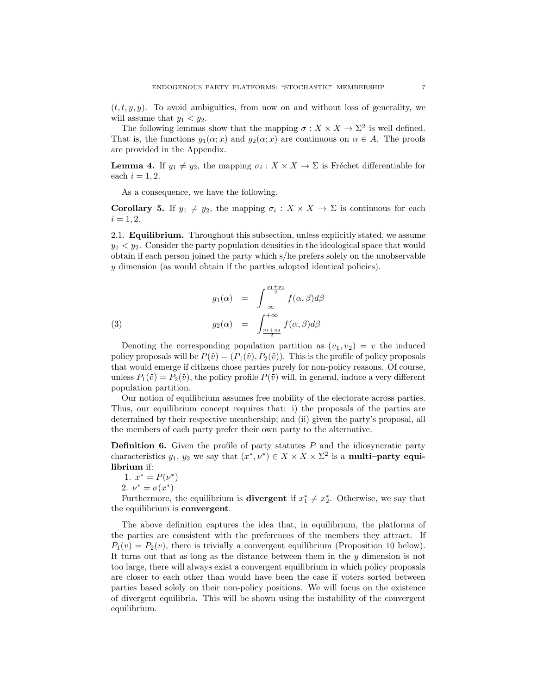$(t, t, y, y)$ . To avoid ambiguities, from now on and without loss of generality, we will assume that  $y_1 < y_2$ .

The following lemmas show that the mapping  $\sigma : X \times X \to \Sigma^2$  is well defined. That is, the functions  $g_1(\alpha; x)$  and  $g_2(\alpha; x)$  are continuous on  $\alpha \in A$ . The proofs are provided in the Appendix.

**Lemma 4.** If  $y_1 \neq y_2$ , the mapping  $\sigma_i : X \times X \to \Sigma$  is Fréchet differentiable for each  $i = 1, 2$ .

As a consequence, we have the following.

**Corollary 5.** If  $y_1 \neq y_2$ , the mapping  $\sigma_i : X \times X \to \Sigma$  is continuous for each  $i = 1, 2.$ 

2.1. Equilibrium. Throughout this subsection, unless explicitly stated, we assume  $y_1 < y_2$ . Consider the party population densities in the ideological space that would obtain if each person joined the party which s/he prefers solely on the unobservable y dimension (as would obtain if the parties adopted identical policies).

(3) 
$$
g_1(\alpha) = \int_{-\infty}^{\frac{y_1 + y_2}{2}} f(\alpha, \beta) d\beta
$$

$$
g_2(\alpha) = \int_{\frac{y_1 + y_2}{2}}^{+\infty} f(\alpha, \beta) d\beta
$$

Denoting the corresponding population partition as  $(\bar{v}_1, \bar{v}_2) = \bar{v}$  the induced policy proposals will be  $P(\bar{v}) = (P_1(\bar{v}), P_2(\bar{v}))$ . This is the profile of policy proposals that would emerge if citizens chose parties purely for non-policy reasons. Of course, unless  $P_1(\bar{v}) = P_2(\bar{v})$ , the policy profile  $P(\bar{v})$  will, in general, induce a very different population partition.

Our notion of equilibrium assumes free mobility of the electorate across parties. Thus, our equilibrium concept requires that: i) the proposals of the parties are determined by their respective membership; and (ii) given the party's proposal, all the members of each party prefer their own party to the alternative.

**Definition 6.** Given the profile of party statutes  $P$  and the idiosyncratic party characteristics  $y_1, y_2$  we say that  $(x^*, \nu^*) \in X \times X \times \Sigma^2$  is a **multi-party equi**librium if:

1. 
$$
x^* = P(\nu^*)
$$

2.  $\nu^* = \sigma(x^*)$ 

Furthermore, the equilibrium is **divergent** if  $x_1^* \neq x_2^*$ . Otherwise, we say that the equilibrium is convergent.

The above definition captures the idea that, in equilibrium, the platforms of the parties are consistent with the preferences of the members they attract. If  $P_1(\tilde{v}) = P_2(\tilde{v})$ , there is trivially a convergent equilibrium (Proposition 10 below). It turns out that as long as the distance between them in the  $y$  dimension is not too large, there will always exist a convergent equilibrium in which policy proposals are closer to each other than would have been the case if voters sorted between parties based solely on their non-policy positions. We will focus on the existence of divergent equilibria. This will be shown using the instability of the convergent equilibrium.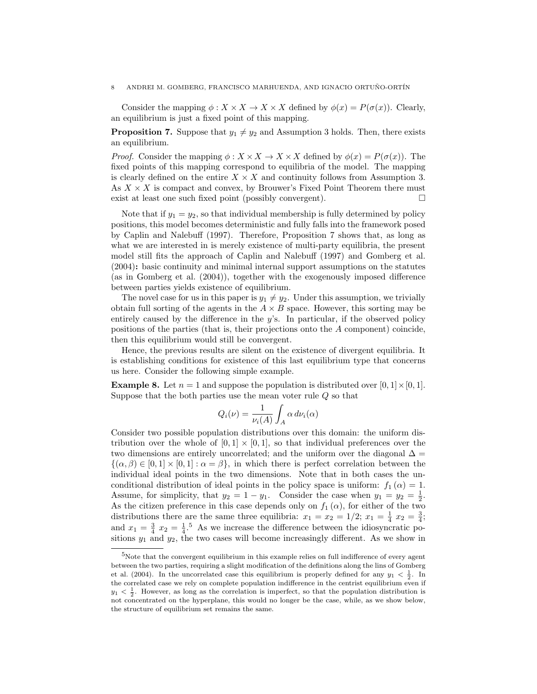## 8 ANDREI M. GOMBERG, FRANCISCO MARHUENDA, AND IGNACIO ORTUÑO-ORTÍN

Consider the mapping  $\phi: X \times X \to X \times X$  defined by  $\phi(x) = P(\sigma(x))$ . Clearly, an equilibrium is just a fixed point of this mapping.

**Proposition 7.** Suppose that  $y_1 \neq y_2$  and Assumption 3 holds. Then, there exists an equilibrium.

*Proof.* Consider the mapping  $\phi: X \times X \to X \times X$  defined by  $\phi(x) = P(\sigma(x))$ . The fixed points of this mapping correspond to equilibria of the model. The mapping is clearly defined on the entire  $X \times X$  and continuity follows from Assumption 3. As  $X \times X$  is compact and convex, by Brouwer's Fixed Point Theorem there must exist at least one such fixed point (possibly convergent).  $\Box$ 

Note that if  $y_1 = y_2$ , so that individual membership is fully determined by policy positions, this model becomes deterministic and fully falls into the framework posed by Caplin and Nalebuff (1997). Therefore, Proposition 7 shows that, as long as what we are interested in is merely existence of multi-party equilibria, the present model still fits the approach of Caplin and Nalebuff (1997) and Gomberg et al. (2004): basic continuity and minimal internal support assumptions on the statutes (as in Gomberg et al. (2004)), together with the exogenously imposed difference between parties yields existence of equilibrium.

The novel case for us in this paper is  $y_1 \neq y_2$ . Under this assumption, we trivially obtain full sorting of the agents in the  $A \times B$  space. However, this sorting may be entirely caused by the difference in the  $y$ 's. In particular, if the observed policy positions of the parties (that is, their projections onto the A component) coincide, then this equilibrium would still be convergent.

Hence, the previous results are silent on the existence of divergent equilibria. It is establishing conditions for existence of this last equilibrium type that concerns us here. Consider the following simple example.

**Example 8.** Let  $n = 1$  and suppose the population is distributed over  $[0, 1] \times [0, 1]$ . Suppose that the both parties use the mean voter rule  $Q$  so that

$$
Q_i(\nu)=\frac{1}{\nu_i(A)}\int_A\alpha\,d\nu_i(\alpha)
$$

Consider two possible population distributions over this domain: the uniform distribution over the whole of  $[0,1] \times [0,1]$ , so that individual preferences over the two dimensions are entirely uncorrelated; and the uniform over the diagonal  $\Delta =$  $\{(\alpha,\beta)\in[0,1]\times[0,1]:\alpha=\beta\},\$  in which there is perfect correlation between the individual ideal points in the two dimensions. Note that in both cases the unconditional distribution of ideal points in the policy space is uniform:  $f_1(\alpha) = 1$ . Assume, for simplicity, that  $y_2 = 1 - y_1$ . Consider the case when  $y_1 = y_2 = \frac{1}{2}$ . As the citizen preference in this case depends only on  $f_1(\alpha)$ , for either of the two distributions there are the same three equilibria:  $x_1 = x_2 = 1/2$ ;  $x_1 = \frac{1}{4}x_2 = \frac{3}{4}$ ; and  $x_1 = \frac{3}{4} x_2 = \frac{1}{4}$ .<sup>5</sup> As we increase the difference between the idiosyncratic positions  $y_1$  and  $y_2$ , the two cases will become increasingly different. As we show in

 $5$ Note that the convergent equilibrium in this example relies on full indifference of every agent between the two parties, requiring a slight modification of the definitions along the lins of Gomberg et al. (2004). In the uncorrelated case this equilibrium is properly defined for any  $y_1 < \frac{1}{2}$ . In the correlated case we rely on complete population indifference in the centrist equilibrium even if  $y_1 < \frac{1}{2}$ . However, as long as the correlation is imperfect, so that the population distribution is not concentrated on the hyperplane, this would no longer be the case, while, as we show below, the structure of equilibrium set remains the same.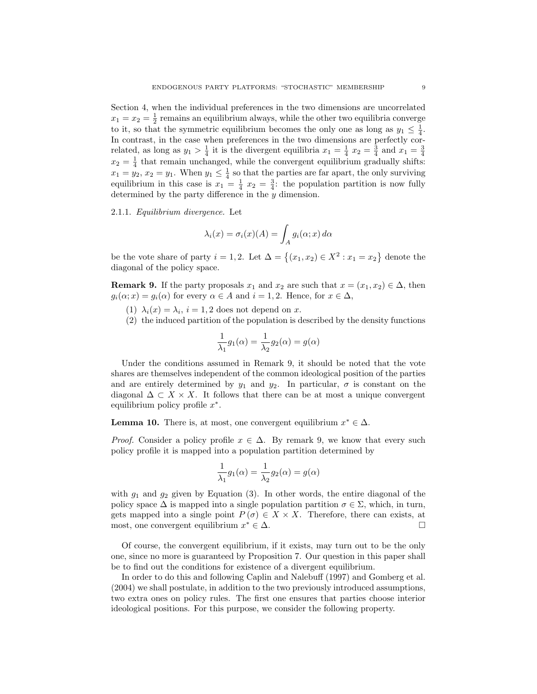Section 4, when the individual preferences in the two dimensions are uncorrelated  $x_1 = x_2 = \frac{1}{2}$  remains an equilibrium always, while the other two equilibria converge to it, so that the symmetric equilibrium becomes the only one as long as  $y_1 \n\t\leq \frac{1}{4}$ . In contrast, in the case when preferences in the two dimensions are perfectly correlated, as long as  $y_1 > \frac{1}{4}$  it is the divergent equilibria  $x_1 = \frac{1}{4}$   $x_2 = \frac{3}{4}$  and  $x_1 = \frac{3}{4}$  $x_2 = \frac{1}{4}$  that remain unchanged, while the convergent equilibrium gradually shifts:  $x_1 = y_2, x_2 = y_1$ . When  $y_1 \leq \frac{1}{4}$  so that the parties are far apart, the only surviving equilibrium in this case is  $x_1 = \frac{1}{4} x_2 = \frac{3}{4}$ : the population partition is now fully determined by the party difference in the  $y$  dimension.

2.1.1. Equilibrium divergence. Let

$$
\lambda_i(x) = \sigma_i(x)(A) = \int_A g_i(\alpha; x) \, d\alpha
$$

be the vote share of party  $i = 1, 2$ . Let  $\Delta = \{(x_1, x_2) \in X^2 : x_1 = x_2\}$  denote the diagonal of the policy space.

**Remark 9.** If the party proposals  $x_1$  and  $x_2$  are such that  $x = (x_1, x_2) \in \Delta$ , then  $g_i(\alpha; x) = g_i(\alpha)$  for every  $\alpha \in A$  and  $i = 1, 2$ . Hence, for  $x \in \Delta$ ,

- (1)  $\lambda_i(x) = \lambda_i$ ,  $i = 1, 2$  does not depend on x.
- (2) the induced partition of the population is described by the density functions

$$
\frac{1}{\lambda_1}g_1(\alpha)=\frac{1}{\lambda_2}g_2(\alpha)=g(\alpha)
$$

Under the conditions assumed in Remark 9, it should be noted that the vote shares are themselves independent of the common ideological position of the parties and are entirely determined by  $y_1$  and  $y_2$ . In particular,  $\sigma$  is constant on the diagonal  $\Delta \subset X \times X$ . It follows that there can be at most a unique convergent equilibrium policy profile  $x^*$ .

**Lemma 10.** There is, at most, one convergent equilibrium  $x^* \in \Delta$ .

*Proof.* Consider a policy profile  $x \in \Delta$ . By remark 9, we know that every such policy profile it is mapped into a population partition determined by

$$
\frac{1}{\lambda_1}g_1(\alpha) = \frac{1}{\lambda_2}g_2(\alpha) = g(\alpha)
$$

with  $g_1$  and  $g_2$  given by Equation (3). In other words, the entire diagonal of the policy space  $\Delta$  is mapped into a single population partition  $\sigma \in \Sigma$ , which, in turn, gets mapped into a single point  $P(\sigma) \in X \times X$ . Therefore, there can exists, at most, one convergent equilibrium  $x^* \in \Delta$ .

Of course, the convergent equilibrium, if it exists, may turn out to be the only one, since no more is guaranteed by Proposition 7. Our question in this paper shall be to find out the conditions for existence of a divergent equilibrium.

In order to do this and following Caplin and Nalebuff (1997) and Gomberg et al. (2004) we shall postulate, in addition to the two previously introduced assumptions, two extra ones on policy rules. The first one ensures that parties choose interior ideological positions. For this purpose, we consider the following property.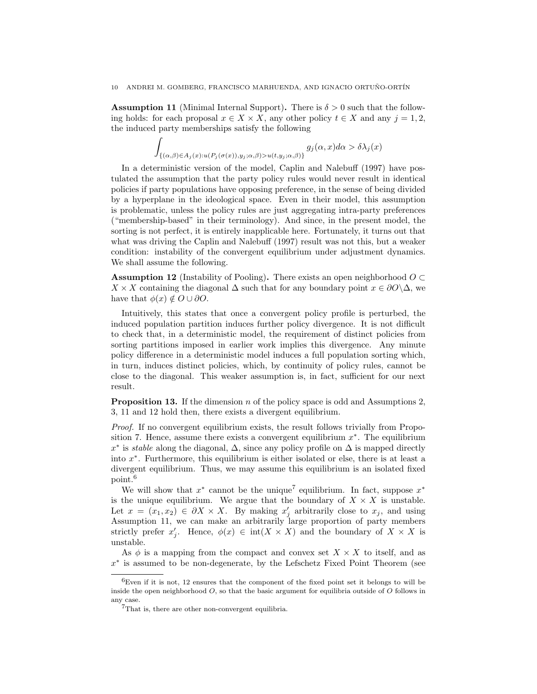**Assumption 11** (Minimal Internal Support). There is  $\delta > 0$  such that the following holds: for each proposal  $x \in X \times X$ , any other policy  $t \in X$  and any  $j = 1, 2$ , the induced party memberships satisfy the following

$$
\int_{\{(\alpha,\beta)\in A_j(x):u(P_j(\sigma(x)),y_j;\alpha,\beta)>u(t,y_j;\alpha,\beta)\}} g_j(\alpha,x)d\alpha > \delta\lambda_j(x)
$$

In a deterministic version of the model, Caplin and Nalebuff (1997) have postulated the assumption that the party policy rules would never result in identical policies if party populations have opposing preference, in the sense of being divided by a hyperplane in the ideological space. Even in their model, this assumption is problematic, unless the policy rules are just aggregating intra-party preferences ("membership-based" in their terminology). And since, in the present model, the sorting is not perfect, it is entirely inapplicable here. Fortunately, it turns out that what was driving the Caplin and Nalebuff (1997) result was not this, but a weaker condition: instability of the convergent equilibrium under adjustment dynamics. We shall assume the following.

**Assumption 12** (Instability of Pooling). There exists an open neighborhood  $O \subset$  $X \times X$  containing the diagonal  $\Delta$  such that for any boundary point  $x \in \partial O \setminus \Delta$ , we have that  $\phi(x) \notin O \cup \partial O$ .

Intuitively, this states that once a convergent policy profile is perturbed, the induced population partition induces further policy divergence. It is not difficult to check that, in a deterministic model, the requirement of distinct policies from sorting partitions imposed in earlier work implies this divergence. Any minute policy difference in a deterministic model induces a full population sorting which, in turn, induces distinct policies, which, by continuity of policy rules, cannot be close to the diagonal. This weaker assumption is, in fact, sufficient for our next result.

**Proposition 13.** If the dimension n of the policy space is odd and Assumptions 2, 3, 11 and 12 hold then, there exists a divergent equilibrium.

Proof. If no convergent equilibrium exists, the result follows trivially from Proposition 7. Hence, assume there exists a convergent equilibrium  $x^*$ . The equilibrium  $x^*$  is *stable* along the diagonal,  $\Delta$ , since any policy profile on  $\Delta$  is mapped directly into  $x^*$ . Furthermore, this equilibrium is either isolated or else, there is at least a divergent equilibrium. Thus, we may assume this equilibrium is an isolated fixed point.<sup>6</sup>

We will show that  $x^*$  cannot be the unique<sup>7</sup> equilibrium. In fact, suppose  $x^*$ is the unique equilibrium. We argue that the boundary of  $X \times X$  is unstable. Let  $x = (x_1, x_2) \in \partial X \times X$ . By making  $x'_j$  arbitrarily close to  $x_j$ , and using Assumption 11, we can make an arbitrarily large proportion of party members strictly prefer  $x'_j$ . Hence,  $\phi(x) \in \text{int}(X \times X)$  and the boundary of  $X \times X$  is unstable.

As  $\phi$  is a mapping from the compact and convex set  $X \times X$  to itself, and as x ∗ is assumed to be non-degenerate, by the Lefschetz Fixed Point Theorem (see

 ${}^{6}$ Even if it is not, 12 ensures that the component of the fixed point set it belongs to will be inside the open neighborhood  $O$ , so that the basic argument for equilibria outside of  $O$  follows in any case.

<sup>7</sup>That is, there are other non-convergent equilibria.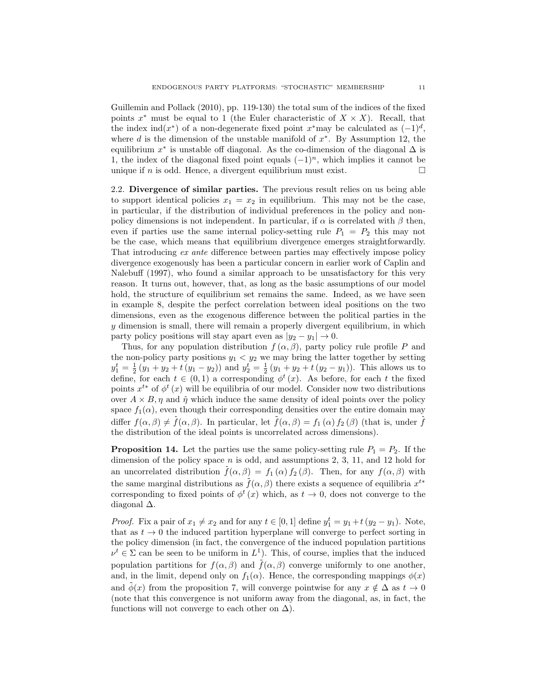Guillemin and Pollack (2010), pp. 119-130) the total sum of the indices of the fixed points  $x^*$  must be equal to 1 (the Euler characteristic of  $X \times X$ ). Recall, that the index ind( $x^*$ ) of a non-degenerate fixed point  $x^*$  may be calculated as  $(-1)^d$ , where  $d$  is the dimension of the unstable manifold of  $x^*$ . By Assumption 12, the equilibrium  $x^*$  is unstable off diagonal. As the co-dimension of the diagonal  $\Delta$  is 1, the index of the diagonal fixed point equals  $(-1)^n$ , which implies it cannot be unique if *n* is odd. Hence, a divergent equilibrium must exist.

2.2. Divergence of similar parties. The previous result relies on us being able to support identical policies  $x_1 = x_2$  in equilibrium. This may not be the case, in particular, if the distribution of individual preferences in the policy and nonpolicy dimensions is not independent. In particular, if  $\alpha$  is correlated with  $\beta$  then, even if parties use the same internal policy-setting rule  $P_1 = P_2$  this may not be the case, which means that equilibrium divergence emerges straightforwardly. That introducing ex ante difference between parties may effectively impose policy divergence exogenously has been a particular concern in earlier work of Caplin and Nalebuff (1997), who found a similar approach to be unsatisfactory for this very reason. It turns out, however, that, as long as the basic assumptions of our model hold, the structure of equilibrium set remains the same. Indeed, as we have seen in example 8, despite the perfect correlation between ideal positions on the two dimensions, even as the exogenous difference between the political parties in the  $y$  dimension is small, there will remain a properly divergent equilibrium, in which party policy positions will stay apart even as  $|y_2 - y_1| \to 0$ .

Thus, for any population distribution  $f(\alpha, \beta)$ , party policy rule profile P and the non-policy party positions  $y_1 < y_2$  we may bring the latter together by setting  $y_1^t = \frac{1}{2}(y_1 + y_2 + t(y_1 - y_2))$  and  $y_2^t = \frac{1}{2}(y_1 + y_2 + t(y_2 - y_1))$ . This allows us to define, for each  $t \in (0,1)$  a corresponding  $\phi^t(x)$ . As before, for each t the fixed points  $x^{t*}$  of  $\phi^t(x)$  will be equilibria of our model. Consider now two distributions over  $A \times B$ ,  $\eta$  and  $\bar{\eta}$  which induce the same density of ideal points over the policy space  $f_1(\alpha)$ , even though their corresponding densities over the entire domain may differ  $f(\alpha, \beta) \neq \overline{f}(\alpha, \beta)$ . In particular, let  $\overline{f}(\alpha, \beta) = f_1(\alpha) f_2(\beta)$  (that is, under  $\overline{f}$ the distribution of the ideal points is uncorrelated across dimensions).

**Proposition 14.** Let the parties use the same policy-setting rule  $P_1 = P_2$ . If the dimension of the policy space  $n$  is odd, and assumptions 2, 3, 11, and 12 hold for an uncorrelated distribution  $\bar{f}(\alpha,\beta) = f_1(\alpha) f_2(\beta)$ . Then, for any  $f(\alpha,\beta)$  with the same marginal distributions as  $\bar{f}(\alpha, \beta)$  there exists a sequence of equilibria  $x^{t*}$ corresponding to fixed points of  $\phi^t(x)$  which, as  $t \to 0$ , does not converge to the diagonal ∆.

*Proof.* Fix a pair of  $x_1 \neq x_2$  and for any  $t \in [0, 1]$  define  $y_1^t = y_1 + t(y_2 - y_1)$ . Note, that as  $t \to 0$  the induced partition hyperplane will converge to perfect sorting in the policy dimension (in fact, the convergence of the induced population partitions  $\nu^t \in \Sigma$  can be seen to be uniform in  $L^1$ ). This, of course, implies that the induced population partitions for  $f(\alpha, \beta)$  and  $\bar{f}(\alpha, \beta)$  converge uniformly to one another, and, in the limit, depend only on  $f_1(\alpha)$ . Hence, the corresponding mappings  $\phi(x)$ and  $\phi(x)$  from the proposition 7, will converge pointwise for any  $x \notin \Delta$  as  $t \to 0$ (note that this convergence is not uniform away from the diagonal, as, in fact, the functions will not converge to each other on  $\Delta$ ).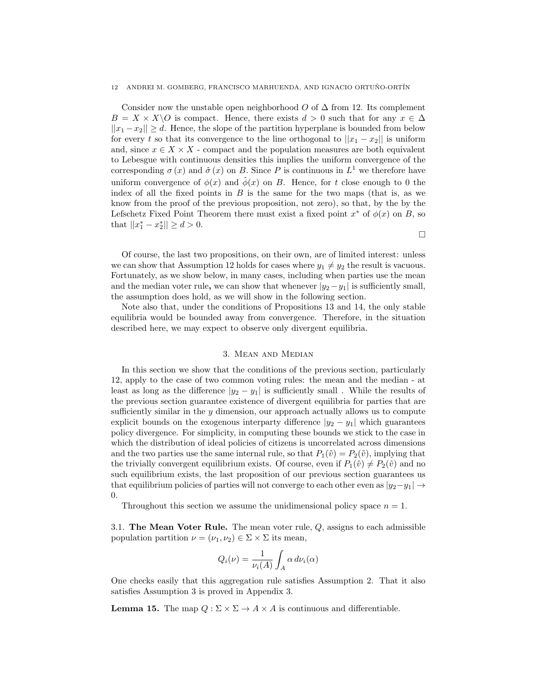#### 12 ANDREI M. GOMBERG, FRANCISCO MARHUENDA, AND IGNACIO ORTUÑO-ORTÍN

Consider now the unstable open neighborhood O of  $\Delta$  from 12. Its complement  $B = X \times X\backslash O$  is compact. Hence, there exists  $d > 0$  such that for any  $x \in \Delta$  $||x_1 - x_2|| \ge d$ . Hence, the slope of the partition hyperplane is bounded from below for every t so that its convergence to the line orthogonal to  $||x_1 - x_2||$  is uniform and, since  $x \in X \times X$  - compact and the population measures are both equivalent to Lebesgue with continuous densities this implies the uniform convergence of the corresponding  $\sigma(x)$  and  $\bar{\sigma}(x)$  on B. Since P is continuous in  $L^1$  we therefore have uniform convergence of  $\phi(x)$  and  $\phi(x)$  on B. Hence, for t close enough to 0 the index of all the fixed points in  $B$  is the same for the two maps (that is, as we know from the proof of the previous proposition, not zero), so that, by the by the Lefschetz Fixed Point Theorem there must exist a fixed point  $x^*$  of  $\phi(x)$  on B, so that  $||x_1^* - x_2^*|| \ge d > 0$ .

Of course, the last two propositions, on their own, are of limited interest: unless we can show that Assumption 12 holds for cases where  $y_1 \neq y_2$  the result is vacuous. Fortunately, as we show below, in many cases, including when parties use the mean and the median voter rule, we can show that whenever  $|y_2 - y_1|$  is sufficiently small, the assumption does hold, as we will show in the following section.

 $\Box$ 

Note also that, under the conditions of Propositions 13 and 14, the only stable equilibria would be bounded away from convergence. Therefore, in the situation described here, we may expect to observe only divergent equilibria.

# 3. Mean and Median

In this section we show that the conditions of the previous section, particularly 12, apply to the case of two common voting rules: the mean and the median - at least as long as the difference  $|y_2 - y_1|$  is sufficiently small. While the results of the previous section guarantee existence of divergent equilibria for parties that are sufficiently similar in the  $y$  dimension, our approach actually allows us to compute explicit bounds on the exogenous interparty difference  $|y_2 - y_1|$  which guarantees policy divergence. For simplicity, in computing these bounds we stick to the case in which the distribution of ideal policies of citizens is uncorrelated across dimensions and the two parties use the same internal rule, so that  $P_1(\bar{v}) = P_2(\bar{v})$ , implying that the trivially convergent equilibrium exists. Of course, even if  $P_1(\bar{v}) \neq P_2(\bar{v})$  and no such equilibrium exists, the last proposition of our previous section guarantees us that equilibrium policies of parties will not converge to each other even as  $|y_2-y_1| \rightarrow$ 0.

Throughout this section we assume the unidimensional policy space  $n = 1$ .

3.1. The Mean Voter Rule. The mean voter rule,  $Q$ , assigns to each admissible population partition  $\nu = (\nu_1, \nu_2) \in \Sigma \times \Sigma$  its mean,

$$
Q_i(\nu) = \frac{1}{\nu_i(A)} \int_A \alpha \, d\nu_i(\alpha)
$$

One checks easily that this aggregation rule satisfies Assumption 2. That it also satisfies Assumption 3 is proved in Appendix 3.

**Lemma 15.** The map  $Q : \Sigma \times \Sigma \to A \times A$  is continuous and differentiable.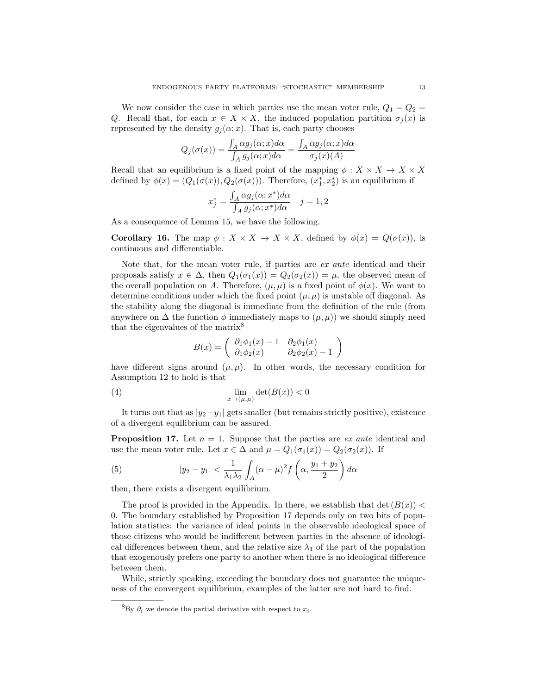We now consider the case in which parties use the mean voter rule,  $Q_1 = Q_2$ Q. Recall that, for each  $x \in X \times X$ , the induced population partition  $\sigma_i(x)$  is represented by the density  $g_j(\alpha; x)$ . That is, each party chooses

$$
Q_j(\sigma(x)) = \frac{\int_A \alpha g_j(\alpha; x) d\alpha}{\int_A g_j(\alpha; x) d\alpha} = \frac{\int_A \alpha g_j(\alpha; x) d\alpha}{\sigma_j(x)(A)}
$$

Recall that an equilibrium is a fixed point of the mapping  $\phi: X \times X \to X \times X$ defined by  $\phi(x) = (Q_1(\sigma(x)), Q_2(\sigma(x)))$ . Therefore,  $(x_1^*, x_2^*)$  is an equilibrium if

$$
x_j^* = \frac{\int_A \alpha g_j(\alpha; x^*) d\alpha}{\int_A g_j(\alpha; x^*) d\alpha} \quad j = 1, 2
$$

As a consequence of Lemma 15, we have the following.

**Corollary 16.** The map  $\phi: X \times X \to X \times X$ , defined by  $\phi(x) = Q(\sigma(x))$ , is continuous and differentiable.

Note that, for the mean voter rule, if parties are ex ante identical and their proposals satisfy  $x \in \Delta$ , then  $Q_1(\sigma_1(x)) = Q_2(\sigma_2(x)) = \mu$ , the observed mean of the overall population on A. Therefore,  $(\mu, \mu)$  is a fixed point of  $\phi(x)$ . We want to determine conditions under which the fixed point  $(\mu, \mu)$  is unstable off diagonal. As the stability along the diagonal is immediate from the definition of the rule (from anywhere on  $\Delta$  the function  $\phi$  immediately maps to  $(\mu, \mu)$  we should simply need that the eigenvalues of the matrix<sup>8</sup>

$$
B(x) = \begin{pmatrix} \partial_1 \phi_1(x) - 1 & \partial_2 \phi_1(x) \\ \partial_1 \phi_2(x) & \partial_2 \phi_2(x) - 1 \end{pmatrix}
$$

have different signs around  $(\mu, \mu)$ . In other words, the necessary condition for Assumption 12 to hold is that

(4) 
$$
\lim_{x \to (\mu,\mu)} \det(B(x)) < 0
$$

It turns out that as  $|y_2-y_1|$  gets smaller (but remains strictly positive), existence of a divergent equilibrium can be assured.

**Proposition 17.** Let  $n = 1$ . Suppose that the parties are *ex ante* identical and use the mean voter rule. Let  $x \in \Delta$  and  $\mu = Q_1(\sigma_1(x)) = Q_2(\sigma_2(x))$ . If

(5) 
$$
|y_2 - y_1| < \frac{1}{\lambda_1 \lambda_2} \int_A (\alpha - \mu)^2 f\left(\alpha, \frac{y_1 + y_2}{2}\right) d\alpha
$$

then, there exists a divergent equilibrium.

The proof is provided in the Appendix. In there, we establish that det  $(B(x))$  < 0. The boundary established by Proposition 17 depends only on two bits of population statistics: the variance of ideal points in the observable ideological space of those citizens who would be indifferent between parties in the absence of ideological differences between them, and the relative size  $\lambda_1$  of the part of the population that exogenously prefers one party to another when there is no ideological difference between them.

While, strictly speaking, exceeding the boundary does not guarantee the uniqueness of the convergent equilibrium, examples of the latter are not hard to find.

 ${}^{8}_{\text{By}}$   $\partial_i$  we denote the partial derivative with respect to  $x_i$ .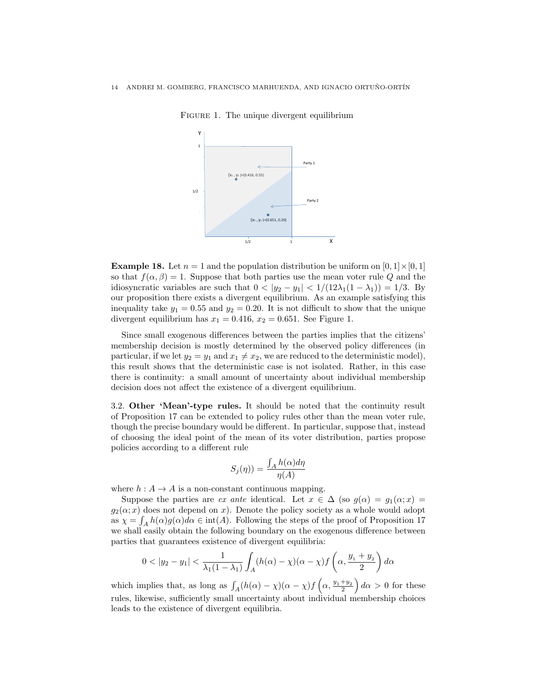

FIGURE 1. The unique divergent equilibrium

**Example 18.** Let  $n = 1$  and the population distribution be uniform on  $[0, 1] \times [0, 1]$ so that  $f(\alpha, \beta) = 1$ . Suppose that both parties use the mean voter rule Q and the idiosyncratic variables are such that  $0 < |y_2 - y_1| < 1/(12\lambda_1(1 - \lambda_1)) = 1/3$ . By our proposition there exists a divergent equilibrium. As an example satisfying this inequality take  $y_1 = 0.55$  and  $y_2 = 0.20$ . It is not difficult to show that the unique divergent equilibrium has  $x_1 = 0.416$ ,  $x_2 = 0.651$ . See Figure 1.

Since small exogenous differences between the parties implies that the citizens' membership decision is mostly determined by the observed policy differences (in particular, if we let  $y_2 = y_1$  and  $x_1 \neq x_2$ , we are reduced to the deterministic model), this result shows that the deterministic case is not isolated. Rather, in this case there is continuity: a small amount of uncertainty about individual membership decision does not affect the existence of a divergent equilibrium.

3.2. Other 'Mean'-type rules. It should be noted that the continuity result of Proposition 17 can be extended to policy rules other than the mean voter rule, though the precise boundary would be different. In particular, suppose that, instead of choosing the ideal point of the mean of its voter distribution, parties propose policies according to a different rule

$$
S_j(\eta)) = \frac{\int_A h(\alpha)d\eta}{\eta(A)}
$$

where  $h: A \to A$  is a non-constant continuous mapping.

Suppose the parties are ex ante identical. Let  $x \in \Delta$  (so  $g(\alpha) = g_1(\alpha; x) =$  $g_2(\alpha; x)$  does not depend on x). Denote the policy society as a whole would adopt as  $\chi = \int_A h(\alpha)g(\alpha)d\alpha \in \text{int}(A)$ . Following the steps of the proof of Proposition 17 we shall easily obtain the following boundary on the exogenous difference between parties that guarantees existence of divergent equilibria:

$$
0 < |y_2 - y_1| < \frac{1}{\lambda_1(1 - \lambda_1)} \int_A (h(\alpha) - \chi)(\alpha - \chi) f\left(\alpha, \frac{y_1 + y_2}{2}\right) d\alpha
$$

which implies that, as long as  $\int_A (h(\alpha) - \chi)(\alpha - \chi) f\left(\alpha, \frac{y_1 + y_2}{2}\right) d\alpha > 0$  for these rules, likewise, sufficiently small uncertainty about individual membership choices leads to the existence of divergent equilibria.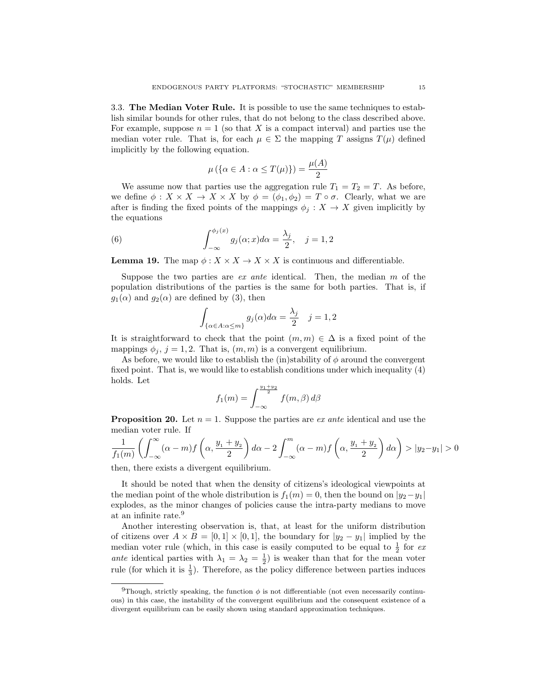3.3. The Median Voter Rule. It is possible to use the same techniques to establish similar bounds for other rules, that do not belong to the class described above. For example, suppose  $n = 1$  (so that X is a compact interval) and parties use the median voter rule. That is, for each  $\mu \in \Sigma$  the mapping T assigns  $T(\mu)$  defined implicitly by the following equation.

$$
\mu\left(\left\{\alpha \in A : \alpha \le T(\mu)\right\}\right) = \frac{\mu(A)}{2}
$$

We assume now that parties use the aggregation rule  $T_1 = T_2 = T$ . As before, we define  $\phi: X \times X \to X \times X$  by  $\phi = (\phi_1, \phi_2) = T \circ \sigma$ . Clearly, what we are after is finding the fixed points of the mappings  $\phi_i : X \to X$  given implicitly by the equations

(6) 
$$
\int_{-\infty}^{\phi_j(x)} g_j(\alpha; x) d\alpha = \frac{\lambda_j}{2}, \quad j = 1, 2
$$

**Lemma 19.** The map  $\phi: X \times X \to X \times X$  is continuous and differentiable.

Suppose the two parties are *ex ante* identical. Then, the median  $m$  of the population distributions of the parties is the same for both parties. That is, if  $g_1(\alpha)$  and  $g_2(\alpha)$  are defined by (3), then

$$
\int_{\{\alpha \in A : \alpha \le m\}} g_j(\alpha) d\alpha = \frac{\lambda_j}{2} \quad j = 1, 2
$$

It is straightforward to check that the point  $(m, m) \in \Delta$  is a fixed point of the mappings  $\phi_i$ ,  $j = 1, 2$ . That is,  $(m, m)$  is a convergent equilibrium.

As before, we would like to establish the (in)stability of  $\phi$  around the convergent fixed point. That is, we would like to establish conditions under which inequality (4) holds. Let

$$
f_1(m) = \int_{-\infty}^{\frac{y_1 + y_2}{2}} f(m, \beta) d\beta
$$

**Proposition 20.** Let  $n = 1$ . Suppose the parties are *ex ante* identical and use the median voter rule. If

$$
\frac{1}{f_1(m)} \left( \int_{-\infty}^{\infty} (\alpha - m) f\left(\alpha, \frac{y_1 + y_2}{2}\right) d\alpha - 2 \int_{-\infty}^m (\alpha - m) f\left(\alpha, \frac{y_1 + y_2}{2}\right) d\alpha \right) > |y_2 - y_1| > 0
$$

then, there exists a divergent equilibrium.

It should be noted that when the density of citizens's ideological viewpoints at the median point of the whole distribution is  $f_1(m) = 0$ , then the bound on  $|y_2-y_1|$ explodes, as the minor changes of policies cause the intra-party medians to move at an infinite rate.<sup>9</sup>

Another interesting observation is, that, at least for the uniform distribution of citizens over  $A \times B = [0,1] \times [0,1]$ , the boundary for  $|y_2 - y_1|$  implied by the median voter rule (which, in this case is easily computed to be equal to  $\frac{1}{2}$  for ex ante identical parties with  $\lambda_1 = \lambda_2 = \frac{1}{2}$  is weaker than that for the mean voter rule (for which it is  $\frac{1}{3}$ ). Therefore, as the policy difference between parties induces

<sup>&</sup>lt;sup>9</sup>Though, strictly speaking, the function  $\phi$  is not differentiable (not even necessarily continuous) in this case, the instability of the convergent equilibrium and the consequent existence of a divergent equilibrium can be easily shown using standard approximation techniques.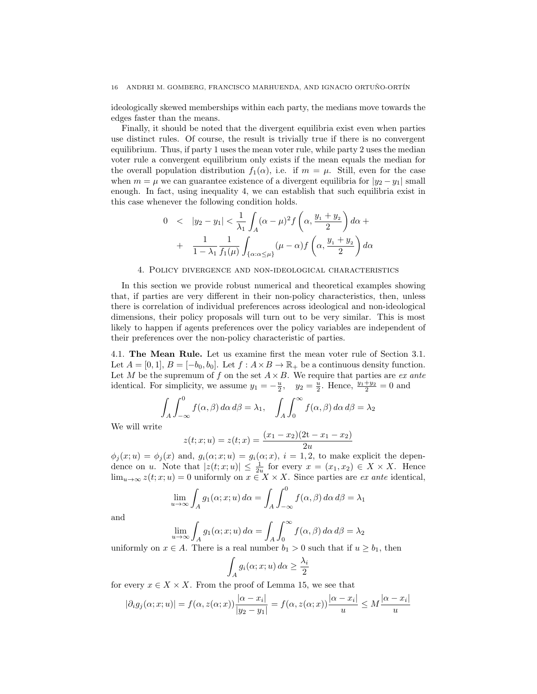#### 16 ANDREI M. GOMBERG, FRANCISCO MARHUENDA, AND IGNACIO ORTUÑO-ORTÍN

ideologically skewed memberships within each party, the medians move towards the edges faster than the means.

Finally, it should be noted that the divergent equilibria exist even when parties use distinct rules. Of course, the result is trivially true if there is no convergent equilibrium. Thus, if party 1 uses the mean voter rule, while party 2 uses the median voter rule a convergent equilibrium only exists if the mean equals the median for the overall population distribution  $f_1(\alpha)$ , i.e. if  $m = \mu$ . Still, even for the case when  $m = \mu$  we can guarantee existence of a divergent equilibria for  $|y_2 - y_1|$  small enough. In fact, using inequality 4, we can establish that such equilibria exist in this case whenever the following condition holds.

$$
0 < |y_2 - y_1| < \frac{1}{\lambda_1} \int_A (\alpha - \mu)^2 f\left(\alpha, \frac{y_1 + y_2}{2}\right) d\alpha +
$$
  
+ 
$$
\frac{1}{1 - \lambda_1} \frac{1}{f_1(\mu)} \int_{\{\alpha : \alpha \le \mu\}} (\mu - \alpha) f\left(\alpha, \frac{y_1 + y_2}{2}\right) d\alpha
$$

## 4. Policy divergence and non-ideological characteristics

In this section we provide robust numerical and theoretical examples showing that, if parties are very different in their non-policy characteristics, then, unless there is correlation of individual preferences across ideological and non-ideological dimensions, their policy proposals will turn out to be very similar. This is most likely to happen if agents preferences over the policy variables are independent of their preferences over the non-policy characteristic of parties.

4.1. The Mean Rule. Let us examine first the mean voter rule of Section 3.1. Let  $A = [0, 1], B = [-b_0, b_0].$  Let  $f : A \times B \to \mathbb{R}_+$  be a continuous density function. Let M be the supremum of f on the set  $A \times B$ . We require that parties are ex ante identical. For simplicity, we assume  $y_1 = -\frac{u}{2}$ ,  $y_2 = \frac{u}{2}$ . Hence,  $\frac{y_1 + y_2}{2} = 0$  and

$$
\int_A \int_{-\infty}^0 f(\alpha, \beta) d\alpha d\beta = \lambda_1, \quad \int_A \int_0^\infty f(\alpha, \beta) d\alpha d\beta = \lambda_2
$$

We will write

$$
z(t; x; u) = z(t; x) = \frac{(x_1 - x_2)(2t - x_1 - x_2)}{2u}
$$

 $\phi_j(x; u) = \phi_j(x)$  and,  $g_i(\alpha; x; u) = g_i(\alpha; x)$ ,  $i = 1, 2$ , to make explicit the dependence on u. Note that  $|z(t; x; u)| \leq \frac{1}{2u}$  for every  $x = (x_1, x_2) \in X \times X$ . Hence  $\lim_{u\to\infty} z(t; x; u) = 0$  uniformly on  $x \in X \times X$ . Since parties are *ex ante* identical,

$$
\lim_{u \to \infty} \int_A g_1(\alpha; x; u) d\alpha = \int_A \int_{-\infty}^0 f(\alpha, \beta) d\alpha d\beta = \lambda_1
$$

and

$$
\lim_{u \to \infty} \int_A g_1(\alpha; x; u) d\alpha = \int_A \int_0^\infty f(\alpha, \beta) d\alpha d\beta = \lambda_2
$$

uniformly on  $x \in A$ . There is a real number  $b_1 > 0$  such that if  $u \geq b_1$ , then

$$
\int_A g_i(\alpha; x; u) \, d\alpha \ge \frac{\lambda_i}{2}
$$

for every  $x \in X \times X$ . From the proof of Lemma 15, we see that

$$
|\partial_i g_j(\alpha; x; u)| = f(\alpha, z(\alpha; x)) \frac{|\alpha - x_i|}{|y_2 - y_1|} = f(\alpha, z(\alpha; x)) \frac{|\alpha - x_i|}{|u|} \le M \frac{|\alpha - x_i|}{|u|}
$$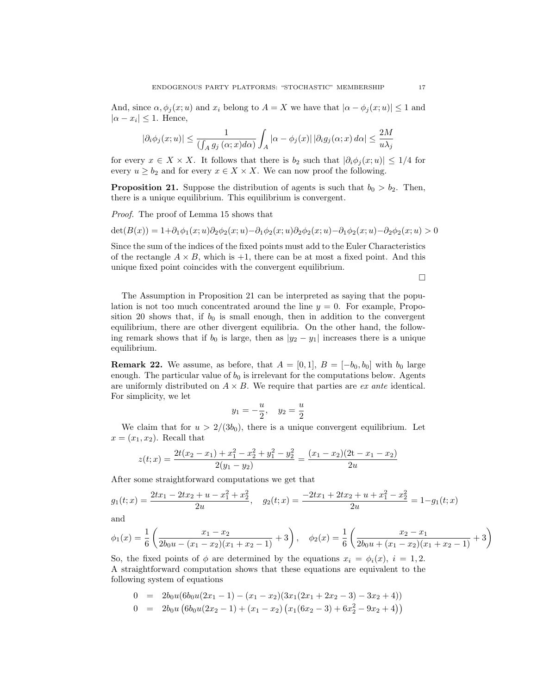And, since  $\alpha, \phi_i(x; u)$  and  $x_i$  belong to  $A = X$  we have that  $|\alpha - \phi_i(x; u)| \leq 1$  and  $|\alpha - x_i| \leq 1$ . Hence,

$$
|\partial_i \phi_j(x;u)| \leq \frac{1}{(\int_A g_j\left(\alpha; x) d\alpha\right)} \int_A |\alpha - \phi_j(x)| \, |\partial_i g_j(\alpha;x) \, d\alpha| \leq \frac{2M}{u\lambda_j}
$$

for every  $x \in X \times X$ . It follows that there is  $b_2$  such that  $|\partial_i \phi_j(x; u)| \leq 1/4$  for every  $u \ge b_2$  and for every  $x \in X \times X$ . We can now proof the following.

**Proposition 21.** Suppose the distribution of agents is such that  $b_0 > b_2$ . Then, there is a unique equilibrium. This equilibrium is convergent.

Proof. The proof of Lemma 15 shows that

 $\det(B(x)) = 1+\partial_1\phi_1(x;u)\partial_2\phi_2(x;u) - \partial_1\phi_2(x;u)\partial_2\phi_2(x;u) - \partial_1\phi_2(x;u) - \partial_2\phi_2(x;u) > 0$ 

Since the sum of the indices of the fixed points must add to the Euler Characteristics of the rectangle  $A \times B$ , which is  $+1$ , there can be at most a fixed point. And this unique fixed point coincides with the convergent equilibrium.

 $\Box$ 

The Assumption in Proposition 21 can be interpreted as saying that the population is not too much concentrated around the line  $y = 0$ . For example, Proposition 20 shows that, if  $b_0$  is small enough, then in addition to the convergent equilibrium, there are other divergent equilibria. On the other hand, the following remark shows that if  $b_0$  is large, then as  $|y_2 - y_1|$  increases there is a unique equilibrium.

**Remark 22.** We assume, as before, that  $A = [0, 1], B = [-b_0, b_0]$  with  $b_0$  large enough. The particular value of  $b_0$  is irrelevant for the computations below. Agents are uniformly distributed on  $A \times B$ . We require that parties are *ex ante* identical. For simplicity, we let

$$
y_1 = -\frac{u}{2}, \quad y_2 = \frac{u}{2}
$$

We claim that for  $u > 2/(3b_0)$ , there is a unique convergent equilibrium. Let  $x = (x_1, x_2)$ . Recall that

$$
z(t; x) = \frac{2t(x_2 - x_1) + x_1^2 - x_2^2 + y_1^2 - y_2^2}{2(y_1 - y_2)} = \frac{(x_1 - x_2)(2t - x_1 - x_2)}{2u}
$$

After some straightforward computations we get that

$$
g_1(t;x) = \frac{2tx_1 - 2tx_2 + u - x_1^2 + x_2^2}{2u}, \quad g_2(t;x) = \frac{-2tx_1 + 2tx_2 + u + x_1^2 - x_2^2}{2u} = 1 - g_1(t;x)
$$

and

$$
\phi_1(x) = \frac{1}{6} \left( \frac{x_1 - x_2}{2b_0u - (x_1 - x_2)(x_1 + x_2 - 1)} + 3 \right), \quad \phi_2(x) = \frac{1}{6} \left( \frac{x_2 - x_1}{2b_0u + (x_1 - x_2)(x_1 + x_2 - 1)} + 3 \right)
$$

So, the fixed points of  $\phi$  are determined by the equations  $x_i = \phi_i(x)$ ,  $i = 1, 2$ . A straightforward computation shows that these equations are equivalent to the following system of equations

$$
0 = 2b_0u(6b_0u(2x_1 - 1) - (x_1 - x_2)(3x_1(2x_1 + 2x_2 - 3) - 3x_2 + 4))
$$
  
\n
$$
0 = 2b_0u(6b_0u(2x_2 - 1) + (x_1 - x_2)(x_1(6x_2 - 3) + 6x_2^2 - 9x_2 + 4))
$$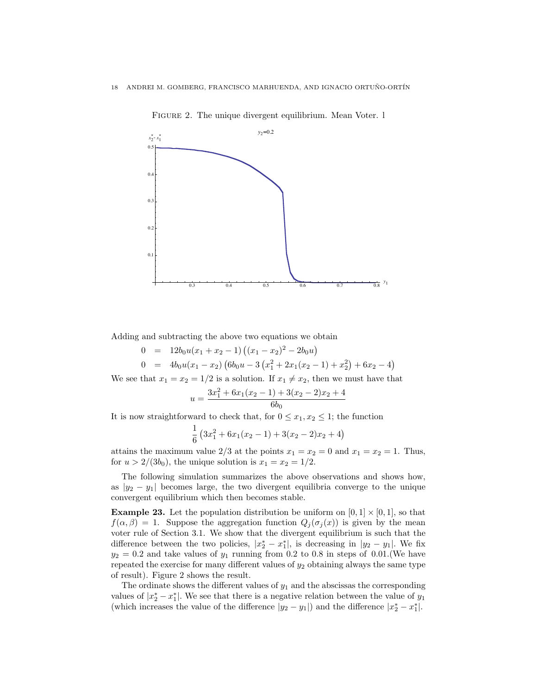

FIGURE 2. The unique divergent equilibrium. Mean Voter. 1

Adding and subtracting the above two equations we obtain

$$
0 = 12b_0u(x_1 + x_2 - 1) ((x_1 - x_2)^2 - 2b_0u)
$$
  
\n
$$
0 = 4b_0u(x_1 - x_2) (6b_0u - 3(x_1^2 + 2x_1(x_2 - 1) + x_2^2) + 6x_2 - 4)
$$

We see that  $x_1 = x_2 = 1/2$  is a solution. If  $x_1 \neq x_2$ , then we must have that

$$
u = \frac{3x_1^2 + 6x_1(x_2 - 1) + 3(x_2 - 2)x_2 + 4}{6b_0}
$$

It is now straightforward to check that, for  $0 \leq x_1, x_2 \leq 1$ ; the function

$$
\frac{1}{6} \left(3x_1^2 + 6x_1(x_2 - 1) + 3(x_2 - 2)x_2 + 4\right)
$$

attains the maximum value 2/3 at the points  $x_1 = x_2 = 0$  and  $x_1 = x_2 = 1$ . Thus, for  $u > 2/(3b_0)$ , the unique solution is  $x_1 = x_2 = 1/2$ .

The following simulation summarizes the above observations and shows how, as  $|y_2 - y_1|$  becomes large, the two divergent equilibria converge to the unique convergent equilibrium which then becomes stable.

**Example 23.** Let the population distribution be uniform on  $[0, 1] \times [0, 1]$ , so that  $f(\alpha, \beta) = 1$ . Suppose the aggregation function  $Q_j(\sigma_j(x))$  is given by the mean voter rule of Section 3.1. We show that the divergent equilibrium is such that the difference between the two policies,  $|x_2^* - x_1^*|$ , is decreasing in  $|y_2 - y_1|$ . We fix  $y_2 = 0.2$  and take values of  $y_1$  running from 0.2 to 0.8 in steps of 0.01. (We have repeated the exercise for many different values of  $y_2$  obtaining always the same type of result). Figure 2 shows the result.

The ordinate shows the different values of  $y_1$  and the abscissas the corresponding values of  $|x_2^* - x_1^*|$ . We see that there is a negative relation between the value of  $y_1$ (which increases the value of the difference  $|y_2 - y_1|$ ) and the difference  $|x_2^* - x_1^*|$ .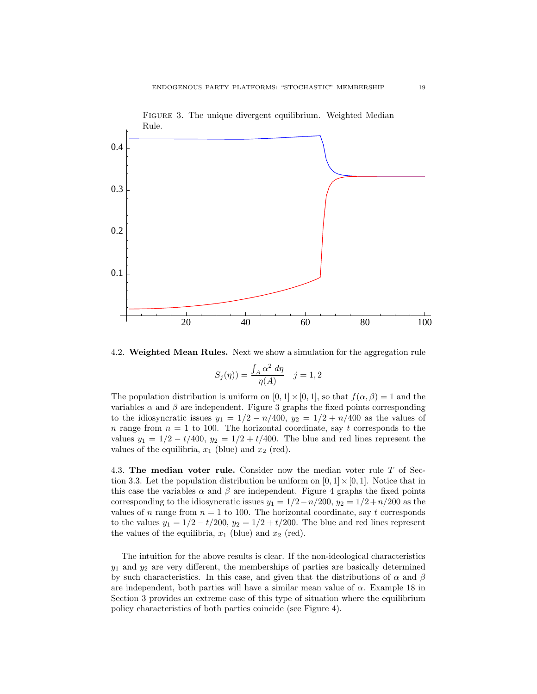

4.2. Weighted Mean Rules. Next we show a simulation for the aggregation rule

$$
S_j(\eta)) = \frac{\int_A \alpha^2 \, d\eta}{\eta(A)} \quad j = 1, 2
$$

The population distribution is uniform on  $[0, 1] \times [0, 1]$ , so that  $f(\alpha, \beta) = 1$  and the variables  $\alpha$  and  $\beta$  are independent. Figure 3 graphs the fixed points corresponding to the idiosyncratic issues  $y_1 = 1/2 - n/400$ ,  $y_2 = 1/2 + n/400$  as the values of n range from  $n = 1$  to 100. The horizontal coordinate, say t corresponds to the values  $y_1 = 1/2 - t/400$ ,  $y_2 = 1/2 + t/400$ . The blue and red lines represent the values of the equilibria,  $x_1$  (blue) and  $x_2$  (red).

4.3. The median voter rule. Consider now the median voter rule T of Section 3.3. Let the population distribution be uniform on  $[0, 1] \times [0, 1]$ . Notice that in this case the variables  $\alpha$  and  $\beta$  are independent. Figure 4 graphs the fixed points corresponding to the idiosyncratic issues  $y_1 = 1/2 - n/200$ ,  $y_2 = 1/2 + n/200$  as the values of n range from  $n = 1$  to 100. The horizontal coordinate, say t corresponds to the values  $y_1 = 1/2 - t/200$ ,  $y_2 = 1/2 + t/200$ . The blue and red lines represent the values of the equilibria,  $x_1$  (blue) and  $x_2$  (red).

The intuition for the above results is clear. If the non-ideological characteristics  $y_1$  and  $y_2$  are very different, the memberships of parties are basically determined by such characteristics. In this case, and given that the distributions of  $\alpha$  and  $\beta$ are independent, both parties will have a similar mean value of  $\alpha$ . Example 18 in Section 3 provides an extreme case of this type of situation where the equilibrium policy characteristics of both parties coincide (see Figure 4).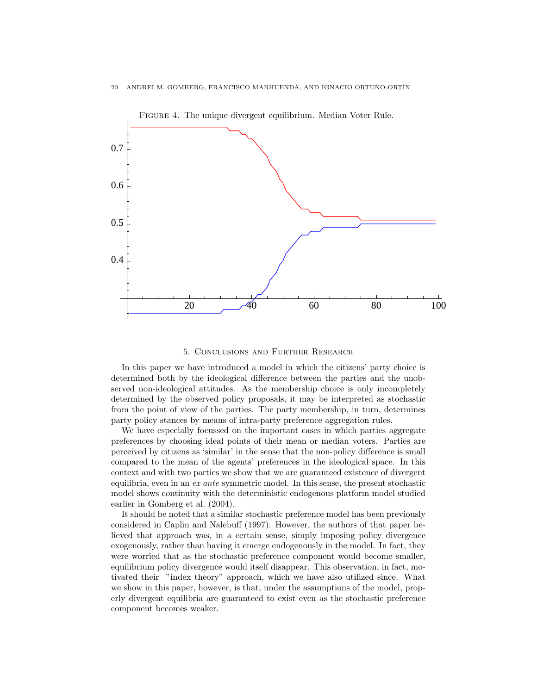

## 5. Conclusions and Further Research

In this paper we have introduced a model in which the citizens' party choice is determined both by the ideological difference between the parties and the unobserved non-ideological attitudes. As the membership choice is only incompletely determined by the observed policy proposals, it may be interpreted as stochastic from the point of view of the parties. The party membership, in turn, determines party policy stances by means of intra-party preference aggregation rules.

We have especially focussed on the important cases in which parties aggregate preferences by choosing ideal points of their mean or median voters. Parties are perceived by citizens as 'similar' in the sense that the non-policy difference is small compared to the mean of the agents' preferences in the ideological space. In this context and with two parties we show that we are guaranteed existence of divergent equilibria, even in an ex ante symmetric model. In this sense, the present stochastic model shows continuity with the deterministic endogenous platform model studied earlier in Gomberg et al. (2004).

It should be noted that a similar stochastic preference model has been previously considered in Caplin and Nalebuff (1997). However, the authors of that paper believed that approach was, in a certain sense, simply imposing policy divergence exogenously, rather than having it emerge endogenously in the model. In fact, they were worried that as the stochastic preference component would become smaller, equilibrium policy divergence would itself disappear. This observation, in fact, motivated their "index theory" approach, which we have also utilized since. What we show in this paper, however, is that, under the assumptions of the model, properly divergent equilibria are guaranteed to exist even as the stochastic preference component becomes weaker.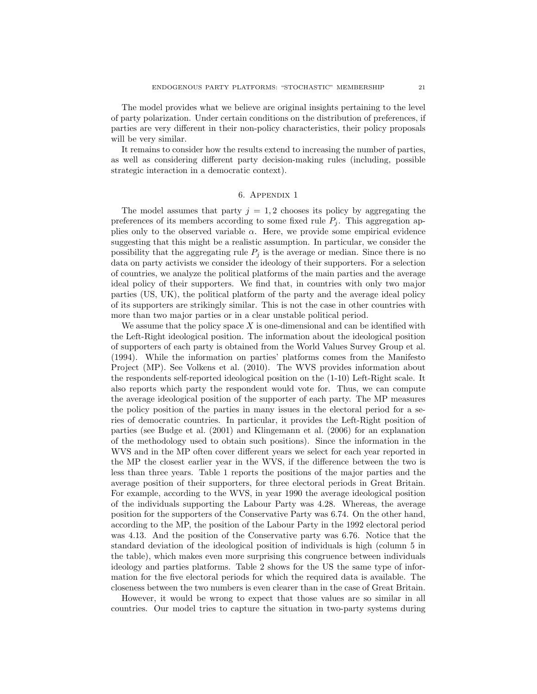The model provides what we believe are original insights pertaining to the level of party polarization. Under certain conditions on the distribution of preferences, if parties are very different in their non-policy characteristics, their policy proposals will be very similar.

It remains to consider how the results extend to increasing the number of parties, as well as considering different party decision-making rules (including, possible strategic interaction in a democratic context).

# 6. Appendix 1

The model assumes that party  $j = 1, 2$  chooses its policy by aggregating the preferences of its members according to some fixed rule  $P_j$ . This aggregation applies only to the observed variable  $\alpha$ . Here, we provide some empirical evidence suggesting that this might be a realistic assumption. In particular, we consider the possibility that the aggregating rule  $P_i$  is the average or median. Since there is no data on party activists we consider the ideology of their supporters. For a selection of countries, we analyze the political platforms of the main parties and the average ideal policy of their supporters. We find that, in countries with only two major parties (US, UK), the political platform of the party and the average ideal policy of its supporters are strikingly similar. This is not the case in other countries with more than two major parties or in a clear unstable political period.

We assume that the policy space X is one-dimensional and can be identified with the Left-Right ideological position. The information about the ideological position of supporters of each party is obtained from the World Values Survey Group et al. (1994). While the information on parties' platforms comes from the Manifesto Project (MP). See Volkens et al. (2010). The WVS provides information about the respondents self-reported ideological position on the (1-10) Left-Right scale. It also reports which party the respondent would vote for. Thus, we can compute the average ideological position of the supporter of each party. The MP measures the policy position of the parties in many issues in the electoral period for a series of democratic countries. In particular, it provides the Left-Right position of parties (see Budge et al. (2001) and Klingemann et al. (2006) for an explanation of the methodology used to obtain such positions). Since the information in the WVS and in the MP often cover different years we select for each year reported in the MP the closest earlier year in the WVS, if the difference between the two is less than three years. Table 1 reports the positions of the major parties and the average position of their supporters, for three electoral periods in Great Britain. For example, according to the WVS, in year 1990 the average ideological position of the individuals supporting the Labour Party was 4.28. Whereas, the average position for the supporters of the Conservative Party was 6.74. On the other hand, according to the MP, the position of the Labour Party in the 1992 electoral period was 4.13. And the position of the Conservative party was 6.76. Notice that the standard deviation of the ideological position of individuals is high (column 5 in the table), which makes even more surprising this congruence between individuals ideology and parties platforms. Table 2 shows for the US the same type of information for the five electoral periods for which the required data is available. The closeness between the two numbers is even clearer than in the case of Great Britain.

However, it would be wrong to expect that those values are so similar in all countries. Our model tries to capture the situation in two-party systems during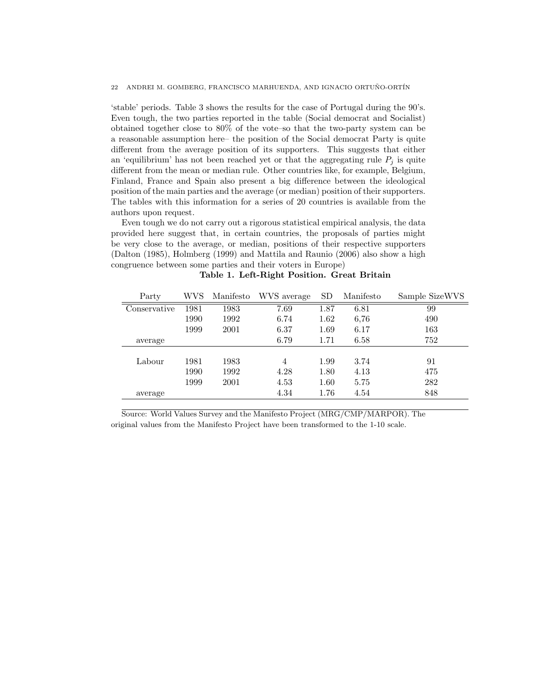'stable' periods. Table 3 shows the results for the case of Portugal during the 90's. Even tough, the two parties reported in the table (Social democrat and Socialist) obtained together close to 80% of the vote–so that the two-party system can be a reasonable assumption here– the position of the Social democrat Party is quite different from the average position of its supporters. This suggests that either an 'equilibrium' has not been reached yet or that the aggregating rule  $P_i$  is quite different from the mean or median rule. Other countries like, for example, Belgium, Finland, France and Spain also present a big difference between the ideological position of the main parties and the average (or median) position of their supporters. The tables with this information for a series of 20 countries is available from the authors upon request.

Even tough we do not carry out a rigorous statistical empirical analysis, the data provided here suggest that, in certain countries, the proposals of parties might be very close to the average, or median, positions of their respective supporters (Dalton (1985), Holmberg (1999) and Mattila and Raunio (2006) also show a high congruence between some parties and their voters in Europe)

| Party        | WVS  | Manifesto | WVS average    | <b>SD</b> | Manifesto | Sample SizeWVS |
|--------------|------|-----------|----------------|-----------|-----------|----------------|
| Conservative | 1981 | 1983      | 7.69           | 1.87      | 6.81      | 99             |
|              | 1990 | 1992      | 6.74           | 1.62      | 6,76      | 490            |
|              | 1999 | 2001      | 6.37           | 1.69      | 6.17      | 163            |
| average      |      |           | 6.79           | 1.71      | 6.58      | 752            |
|              |      |           |                |           |           |                |
| Labour       | 1981 | 1983      | $\overline{4}$ | 1.99      | 3.74      | 91             |
|              | 1990 | 1992      | 4.28           | 1.80      | 4.13      | 475            |
|              | 1999 | 2001      | 4.53           | 1.60      | 5.75      | 282            |
| average      |      |           | 4.34           | 1.76      | 4.54      | 848            |

Table 1. Left-Right Position. Great Britain

Source: World Values Survey and the Manifesto Project (MRG/CMP/MARPOR). The original values from the Manifesto Project have been transformed to the 1-10 scale.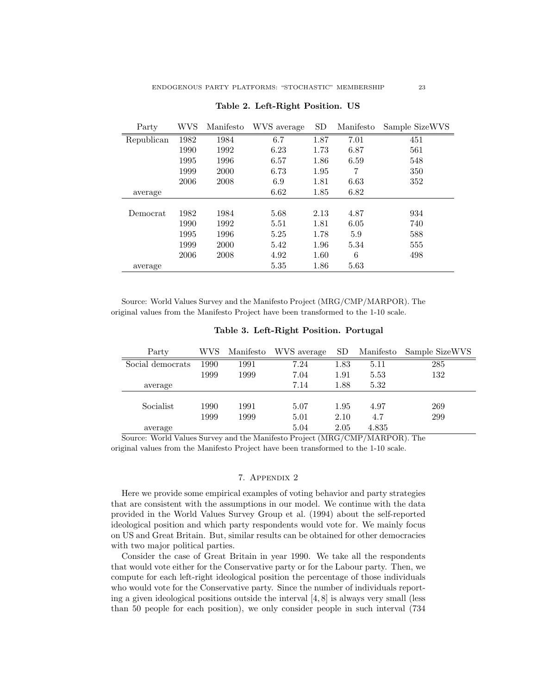| Party      | WVS  | Manifesto | WVS average | SD   | Manifesto | Sample SizeWVS |
|------------|------|-----------|-------------|------|-----------|----------------|
| Republican | 1982 | 1984      | 6.7         | 1.87 | 7.01      | 451            |
|            | 1990 | 1992      | 6.23        | 1.73 | 6.87      | 561            |
|            | 1995 | 1996      | 6.57        | 1.86 | 6.59      | 548            |
|            | 1999 | 2000      | 6.73        | 1.95 | 7         | 350            |
|            | 2006 | 2008      | 6.9         | 1.81 | 6.63      | 352            |
| average    |      |           | 6.62        | 1.85 | 6.82      |                |
|            |      |           |             |      |           |                |
| Democrat   | 1982 | 1984      | 5.68        | 2.13 | 4.87      | 934            |
|            | 1990 | 1992      | 5.51        | 1.81 | 6.05      | 740            |
|            | 1995 | 1996      | 5.25        | 1.78 | 5.9       | 588            |
|            | 1999 | 2000      | 5.42        | 1.96 | 5.34      | 555            |
|            | 2006 | 2008      | 4.92        | 1.60 | 6         | 498            |
| average    |      |           | 5.35        | 1.86 | 5.63      |                |

Table 2. Left-Right Position. US

Source: World Values Survey and the Manifesto Project (MRG/CMP/MARPOR). The original values from the Manifesto Project have been transformed to the 1-10 scale.

| Party            | WVS  | Manifesto | WVS average | SD.  | Manifesto | Sample SizeWVS |
|------------------|------|-----------|-------------|------|-----------|----------------|
| Social democrats | 1990 | 1991      | 7.24        | 1.83 | 5.11      | 285            |
|                  | 1999 | 1999      | 7.04        | 1.91 | 5.53      | 132            |
| average          |      |           | 7.14        | 1.88 | 5.32      |                |
| Socialist        | 1990 | 1991      | 5.07        | 1.95 | 4.97      | 269            |
|                  | 1999 | 1999      | 5.01        | 2.10 | 4.7       | 299            |
| average          |      |           | 5.04        | 2.05 | 4.835     |                |

Table 3. Left-Right Position. Portugal

Source: World Values Survey and the Manifesto Project (MRG/CMP/MARPOR). The original values from the Manifesto Project have been transformed to the 1-10 scale.

# 7. Appendix 2

Here we provide some empirical examples of voting behavior and party strategies that are consistent with the assumptions in our model. We continue with the data provided in the World Values Survey Group et al. (1994) about the self-reported ideological position and which party respondents would vote for. We mainly focus on US and Great Britain. But, similar results can be obtained for other democracies with two major political parties.

Consider the case of Great Britain in year 1990. We take all the respondents that would vote either for the Conservative party or for the Labour party. Then, we compute for each left-right ideological position the percentage of those individuals who would vote for the Conservative party. Since the number of individuals reporting a given ideological positions outside the interval  $[4, 8]$  is always very small (less than 50 people for each position), we only consider people in such interval (734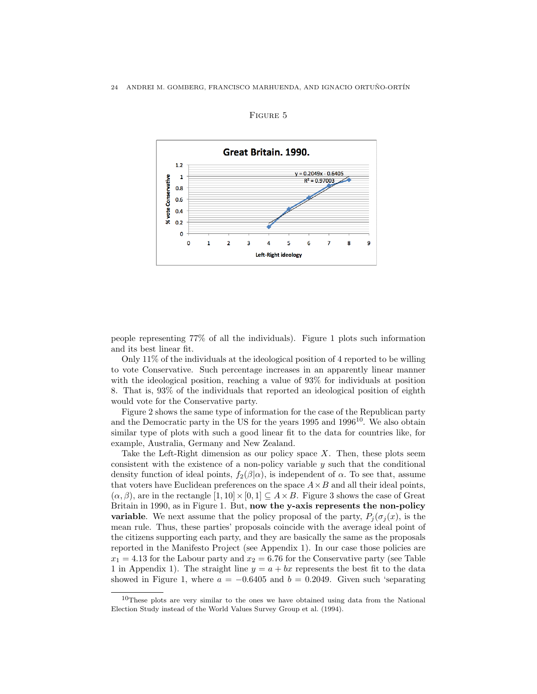

## Figure 5

people representing 77% of all the individuals). Figure 1 plots such information and its best linear fit.

Only 11% of the individuals at the ideological position of 4 reported to be willing to vote Conservative. Such percentage increases in an apparently linear manner with the ideological position, reaching a value of 93% for individuals at position 8. That is, 93% of the individuals that reported an ideological position of eighth would vote for the Conservative party.

Figure 2 shows the same type of information for the case of the Republican party and the Democratic party in the US for the years  $1995$  and  $1996<sup>10</sup>$ . We also obtain similar type of plots with such a good linear fit to the data for countries like, for example, Australia, Germany and New Zealand.

Take the Left-Right dimension as our policy space  $X$ . Then, these plots seem consistent with the existence of a non-policy variable y such that the conditional density function of ideal points,  $f_2(\beta|\alpha)$ , is independent of  $\alpha$ . To see that, assume that voters have Euclidean preferences on the space  $A \times B$  and all their ideal points,  $(\alpha, \beta)$ , are in the rectangle  $[1, 10] \times [0, 1] \subseteq A \times B$ . Figure 3 shows the case of Great Britain in 1990, as in Figure 1. But, now the y-axis represents the non-policy **variable.** We next assume that the policy proposal of the party,  $P_i(\sigma_i(x))$ , is the mean rule. Thus, these parties' proposals coincide with the average ideal point of the citizens supporting each party, and they are basically the same as the proposals reported in the Manifesto Project (see Appendix 1). In our case those policies are  $x_1 = 4.13$  for the Labour party and  $x_2 = 6.76$  for the Conservative party (see Table 1 in Appendix 1). The straight line  $y = a + bx$  represents the best fit to the data showed in Figure 1, where  $a = -0.6405$  and  $b = 0.2049$ . Given such 'separating

 $10$ These plots are very similar to the ones we have obtained using data from the National Election Study instead of the World Values Survey Group et al. (1994).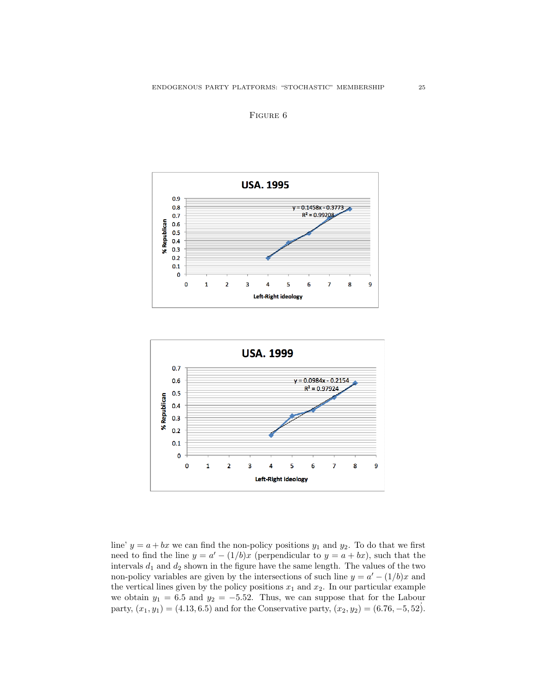





line'  $y = a + bx$  we can find the non-policy positions  $y_1$  and  $y_2$ . To do that we first need to find the line  $y = a' - (1/b)x$  (perpendicular to  $y = a + bx$ ), such that the intervals  $d_1$  and  $d_2$  shown in the figure have the same length. The values of the two non-policy variables are given by the intersections of such line  $y = a' - (1/b)x$  and the vertical lines given by the policy positions  $x_1$  and  $x_2$ . In our particular example we obtain  $y_1 = 6.5$  and  $y_2 = -5.52$ . Thus, we can suppose that for the Labour party,  $(x_1, y_1) = (4.13, 6.5)$  and for the Conservative party,  $(x_2, y_2) = (6.76, -5, 52)$ .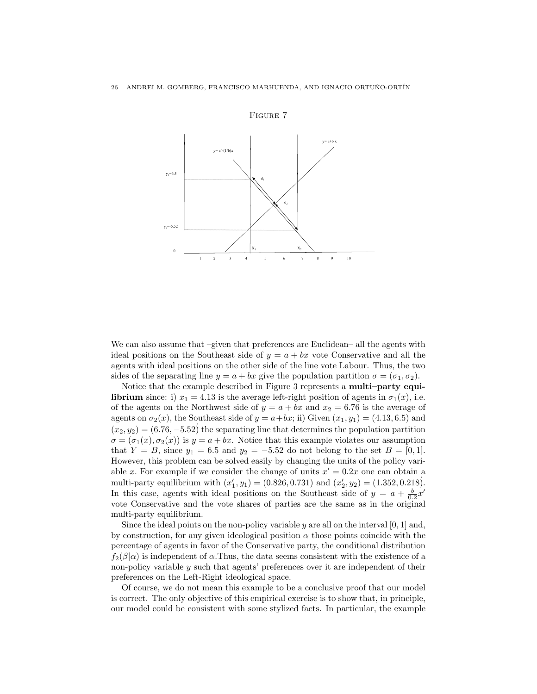

Figure 7

We can also assume that –given that preferences are Euclidean– all the agents with ideal positions on the Southeast side of  $y = a + bx$  vote Conservative and all the agents with ideal positions on the other side of the line vote Labour. Thus, the two sides of the separating line  $y = a + bx$  give the population partition  $\sigma = (\sigma_1, \sigma_2)$ .

Notice that the example described in Figure 3 represents a **multi–party equi**librium since: i)  $x_1 = 4.13$  is the average left-right position of agents in  $\sigma_1(x)$ , i.e. of the agents on the Northwest side of  $y = a + bx$  and  $x_2 = 6.76$  is the average of agents on  $\sigma_2(x)$ , the Southeast side of  $y = a+bx$ ; ii) Given  $(x_1, y_1) = (4.13, 6.5)$  and  $(x_2, y_2) = (6.76, -5.52)$  the separating line that determines the population partition  $\sigma = (\sigma_1(x), \sigma_2(x))$  is  $y = a + bx$ . Notice that this example violates our assumption that  $Y = B$ , since  $y_1 = 6.5$  and  $y_2 = -5.52$  do not belong to the set  $B = [0, 1]$ . However, this problem can be solved easily by changing the units of the policy variable x. For example if we consider the change of units  $x' = 0.2x$  one can obtain a multi-party equilibrium with  $(x'_1, y_1) = (0.826, 0.731)$  and  $(x'_2, y_2) = (1.352, 0.218)$ . In this case, agents with ideal positions on the Southeast side of  $y = a + \frac{b}{0.2}x'$ vote Conservative and the vote shares of parties are the same as in the original multi-party equilibrium.

Since the ideal points on the non-policy variable  $y$  are all on the interval [0, 1] and, by construction, for any given ideological position  $\alpha$  those points coincide with the percentage of agents in favor of the Conservative party, the conditional distribution  $f_2(\beta|\alpha)$  is independent of  $\alpha$ . Thus, the data seems consistent with the existence of a non-policy variable y such that agents' preferences over it are independent of their preferences on the Left-Right ideological space.

Of course, we do not mean this example to be a conclusive proof that our model is correct. The only objective of this empirical exercise is to show that, in principle, our model could be consistent with some stylized facts. In particular, the example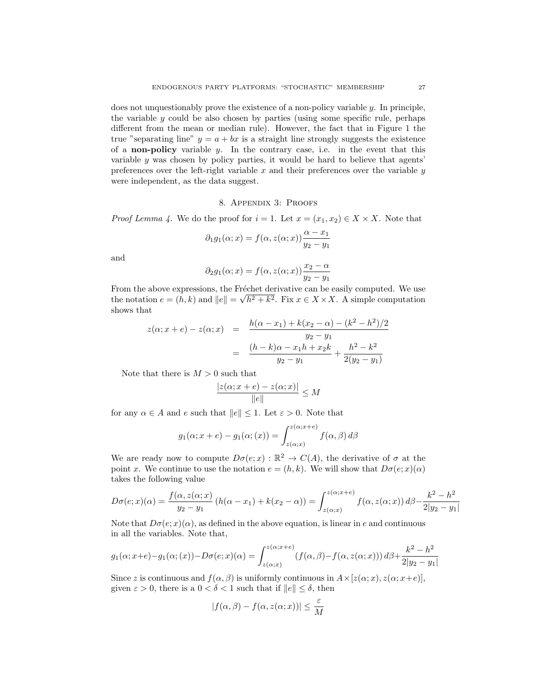does not unquestionably prove the existence of a non-policy variable  $y$ . In principle, the variable  $y$  could be also chosen by parties (using some specific rule, perhaps different from the mean or median rule). However, the fact that in Figure 1 the true "separating line"  $y = a + bx$  is a straight line strongly suggests the existence of a **non-policy** variable  $y$ . In the contrary case, i.e. in the event that this variable  $y$  was chosen by policy parties, it would be hard to believe that agents' preferences over the left-right variable  $x$  and their preferences over the variable  $y$ were independent, as the data suggest.

# 8. Appendix 3: Proofs

*Proof Lemma 4.* We do the proof for  $i = 1$ . Let  $x = (x_1, x_2) \in X \times X$ . Note that

$$
\partial_1 g_1(\alpha; x) = f(\alpha, z(\alpha; x)) \frac{\alpha - x_1}{y_2 - y_1}
$$

and

$$
\partial_2 g_1(\alpha; x) = f(\alpha, z(\alpha; x)) \frac{x_2 - \alpha}{y_2 - y_1}
$$

From the above expressions, the Fréchet derivative can be easily computed. We use the notation  $e = (h, k)$  and  $||e|| = \sqrt{h^2 + k^2}$ . Fix  $x \in X \times X$ . A simple computation shows that

$$
z(\alpha; x + e) - z(\alpha; x) = \frac{h(\alpha - x_1) + k(x_2 - \alpha) - (k^2 - h^2)/2}{y_2 - y_1}
$$
  
= 
$$
\frac{(h - k)\alpha - x_1h + x_2k}{y_2 - y_1} + \frac{h^2 - k^2}{2(y_2 - y_1)}
$$

Note that there is  $M > 0$  such that

$$
\frac{|z(\alpha; x+e)-z(\alpha; x)|}{\|e\|} \le M
$$

for any  $\alpha \in A$  and e such that  $||e|| \leq 1$ . Let  $\varepsilon > 0$ . Note that

$$
g_1(\alpha; x+e) - g_1(\alpha; (x)) = \int_{z(\alpha; x)}^{z(\alpha; x+e)} f(\alpha, \beta) d\beta
$$

We are ready now to compute  $D\sigma(e; x): \mathbb{R}^2 \to C(A)$ , the derivative of  $\sigma$  at the point x. We continue to use the notation  $e = (h, k)$ . We will show that  $D\sigma(e; x)(\alpha)$ takes the following value

$$
D\sigma(e;x)(\alpha) = \frac{f(\alpha, z(\alpha; x)}{y_2 - y_1} (h(\alpha - x_1) + k(x_2 - \alpha)) = \int_{z(\alpha; x)}^{z(\alpha; x + e)} f(\alpha, z(\alpha; x)) d\beta - \frac{k^2 - h^2}{2|y_2 - y_1|}
$$

Note that  $D\sigma(e; x)(\alpha)$ , as defined in the above equation, is linear in e and continuous in all the variables. Note that,

$$
g_1(\alpha; x+e) - g_1(\alpha; (x)) - D\sigma(e; x)(\alpha) = \int_{z(\alpha; x)}^{z(\alpha; x+e)} (f(\alpha, \beta) - f(\alpha, z(\alpha; x))) d\beta + \frac{k^2 - h^2}{2|y_2 - y_1|}
$$

Since z is continuous and  $f(\alpha, \beta)$  is uniformly continuous in  $A \times [z(\alpha; x), z(\alpha; x+e)],$ given  $\varepsilon > 0$ , there is a  $0 < \delta < 1$  such that if  $||e|| \leq \delta$ , then

$$
|f(\alpha, \beta) - f(\alpha, z(\alpha; x))| \le \frac{\varepsilon}{M}
$$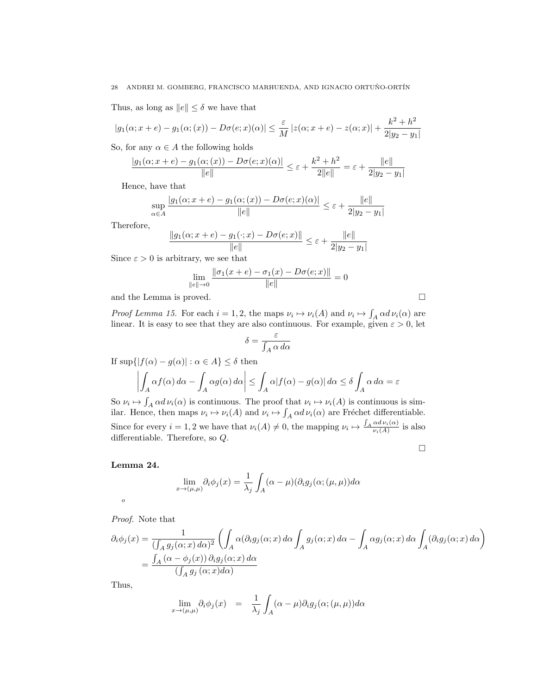Thus, as long as  $||e|| \leq \delta$  we have that

$$
|g_1(\alpha; x+e) - g_1(\alpha; (x)) - D\sigma(e; x)(\alpha)| \le \frac{\varepsilon}{M} |z(\alpha; x+e) - z(\alpha; x)| + \frac{k^2 + h^2}{2|y_2 - y_1|}
$$

So, for any  $\alpha \in A$  the following holds

$$
\frac{|g_1(\alpha; x+e)-g_1(\alpha; (x))-D\sigma(e; x)(\alpha)|}{\|e\|} \leq \varepsilon + \frac{k^2 + h^2}{2\|e\|} = \varepsilon + \frac{\|e\|}{2\|y_2 - y_1\|}
$$

Hence, have that

$$
\sup_{\alpha \in A} \frac{|g_1(\alpha; x+e) - g_1(\alpha; (x)) - D\sigma(e; x)(\alpha)|}{\|e\|} \le \varepsilon + \frac{\|e\|}{2|y_2 - y_1|}
$$

Therefore,

$$
\frac{\|g_1(\alpha; x+e)-g_1(\cdot; x)-D\sigma(e; x)\|}{\|e\|} \leq \varepsilon + \frac{\|e\|}{2|y_2-y_1|}
$$

Since  $\varepsilon > 0$  is arbitrary, we see that

$$
\lim_{\|e\| \to 0} \frac{\|\sigma_1(x+e) - \sigma_1(x) - D\sigma(e; x)\|}{\|e\|} = 0
$$

and the Lemma is proved.  $\square$ 

Proof Lemma 15. For each  $i = 1, 2$ , the maps  $\nu_i \mapsto \nu_i(A)$  and  $\nu_i \mapsto \int_A \alpha d \nu_i(\alpha)$  are linear. It is easy to see that they are also continuous. For example, given  $\varepsilon > 0$ , let

$$
\delta = \frac{\varepsilon}{\int_A \alpha \, d\alpha}
$$

If  $\sup\{|f(\alpha) - g(\alpha)| : \alpha \in A\} \leq \delta$  then

$$
\left| \int_A \alpha f(\alpha) \, d\alpha - \int_A \alpha g(\alpha) \, d\alpha \right| \leq \int_A \alpha |f(\alpha) - g(\alpha)| \, d\alpha \leq \delta \int_A \alpha \, d\alpha = \varepsilon
$$

So  $\nu_i \mapsto \int_A \alpha d \nu_i(\alpha)$  is continuous. The proof that  $\nu_i \mapsto \nu_i(A)$  is continuous is similar. Hence, then maps  $\nu_i \mapsto \nu_i(A)$  and  $\nu_i \mapsto \int_A \alpha d \nu_i(\alpha)$  are Fréchet differentiable. Since for every  $i = 1, 2$  we have that  $\nu_i(A) \neq 0$ , the mapping  $\nu_i \mapsto \frac{\int_A \alpha d \nu_i(\alpha)}{\nu_i(A)}$  $\frac{\alpha a \nu_i(\alpha)}{\nu_i(A)}$  is also differentiable. Therefore, so Q.

 $\Box$ 

Lemma 24.

o

$$
\lim_{x \to (\mu,\mu)} \partial_i \phi_j(x) = \frac{1}{\lambda_j} \int_A (\alpha - \mu) (\partial_i g_j(\alpha; (\mu, \mu)) d\alpha
$$

Proof. Note that

$$
\partial_i \phi_j(x) = \frac{1}{(\int_A g_j(\alpha; x) d\alpha)^2} \left( \int_A \alpha(\partial_i g_j(\alpha; x) d\alpha \int_A g_j(\alpha; x) d\alpha - \int_A \alpha g_j(\alpha; x) d\alpha \int_A (\partial_i g_j(\alpha; x) d\alpha) \right)
$$
  
= 
$$
\frac{\int_A (\alpha - \phi_j(x)) \partial_i g_j(\alpha; x) d\alpha}{(\int_A g_j(\alpha; x) d\alpha)}
$$

Thus,

$$
\lim_{x \to (\mu,\mu)} \partial_i \phi_j(x) = \frac{1}{\lambda_j} \int_A (\alpha - \mu) \partial_i g_j(\alpha; (\mu, \mu)) d\alpha
$$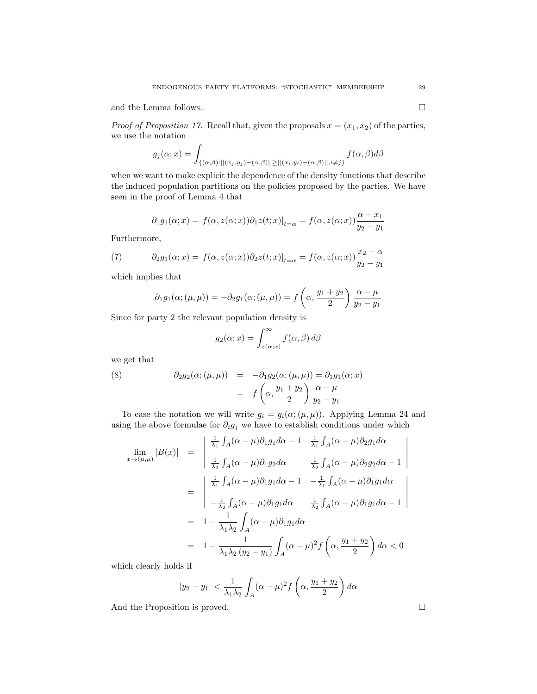and the Lemma follows.  $\hfill \square$ 

*Proof of Proposition 17.* Recall that, given the proposals  $x = (x_1, x_2)$  of the parties, we use the notation

$$
g_j(\alpha; x) = \int_{\{(\alpha,\beta):||(x_j,y_j)-(\alpha,\beta)||\geq||(x_i,y_i)-(\alpha,\beta)||, i\neq j\}} f(\alpha,\beta)d\beta
$$

when we want to make explicit the dependence of the density functions that describe the induced population partitions on the policies proposed by the parties. We have seen in the proof of Lemma 4 that

$$
\partial_1 g_1(\alpha; x) = f(\alpha, z(\alpha; x)) \partial_1 z(t; x)|_{t=\alpha} = f(\alpha, z(\alpha; x)) \frac{\alpha - x_1}{y_2 - y_1}
$$

Furthermore,

(7) 
$$
\partial_2 g_1(\alpha; x) = f(\alpha, z(\alpha; x)) \partial_2 z(t; x)|_{t=\alpha} = f(\alpha, z(\alpha; x)) \frac{x_2 - \alpha}{y_2 - y_1}
$$

which implies that

$$
\partial_1 g_1(\alpha; (\mu, \mu)) = -\partial_2 g_1(\alpha; (\mu, \mu)) = f\left(\alpha, \frac{y_1 + y_2}{2}\right) \frac{\alpha - \mu}{y_2 - y_1}
$$

Since for party 2 the relevant population density is

$$
g_2(\alpha; x) = \int_{z(\alpha; x)}^{\infty} f(\alpha, \beta) d\beta
$$

we get that

(8) 
$$
\partial_2 g_2(\alpha; (\mu, \mu)) = -\partial_1 g_2(\alpha; (\mu, \mu)) = \partial_1 g_1(\alpha; x)
$$

$$
= f\left(\alpha, \frac{y_1 + y_2}{2}\right) \frac{\alpha - \mu}{y_2 - y_1}
$$

To ease the notation we will write  $g_i = g_i(\alpha; (\mu, \mu))$ . Applying Lemma 24 and using the above formulae for  $\partial_i g_j$  we have to establish conditions under which

$$
\lim_{x \to (\mu,\mu)} |B(x)| = \begin{vmatrix} \frac{1}{\lambda_1} \int_A (\alpha - \mu) \partial_1 g_1 d\alpha - 1 & \frac{1}{\lambda_1} \int_A (\alpha - \mu) \partial_2 g_1 d\alpha \\ \frac{1}{\lambda_2} \int_A (\alpha - \mu) \partial_1 g_2 d\alpha & \frac{1}{\lambda_2} \int_A (\alpha - \mu) \partial_2 g_2 d\alpha - 1 \end{vmatrix}
$$

$$
= \begin{vmatrix} \frac{1}{\lambda_1} \int_A (\alpha - \mu) \partial_1 g_1 d\alpha - 1 & -\frac{1}{\lambda_1} \int_A (\alpha - \mu) \partial_1 g_1 d\alpha \\ -\frac{1}{\lambda_2} \int_A (\alpha - \mu) \partial_1 g_1 d\alpha & \frac{1}{\lambda_2} \int_A (\alpha - \mu) \partial_1 g_1 d\alpha - 1 \end{vmatrix}
$$

$$
= 1 - \frac{1}{\lambda_1 \lambda_2} \int_A (\alpha - \mu) \partial_1 g_1 d\alpha
$$

$$
= 1 - \frac{1}{\lambda_1 \lambda_2 (y_2 - y_1)} \int_A (\alpha - \mu)^2 f\left(\alpha, \frac{y_1 + y_2}{2}\right) d\alpha < 0
$$

which clearly holds if

$$
|y_2 - y_1| < \frac{1}{\lambda_1 \lambda_2} \int_A (\alpha - \mu)^2 f\left(\alpha, \frac{y_1 + y_2}{2}\right) d\alpha
$$

And the Proposition is proved.  $\hfill \square$ 

 $\overline{\phantom{a}}$  $\overline{\phantom{a}}$  $\overline{\phantom{a}}$  $\overline{\phantom{a}}$ I  $\mid$ 

 $\overline{\phantom{a}}$  $\overline{\phantom{a}}$  $\overline{\phantom{a}}$  $\overline{\phantom{a}}$  $\overline{\phantom{a}}$  $\mid$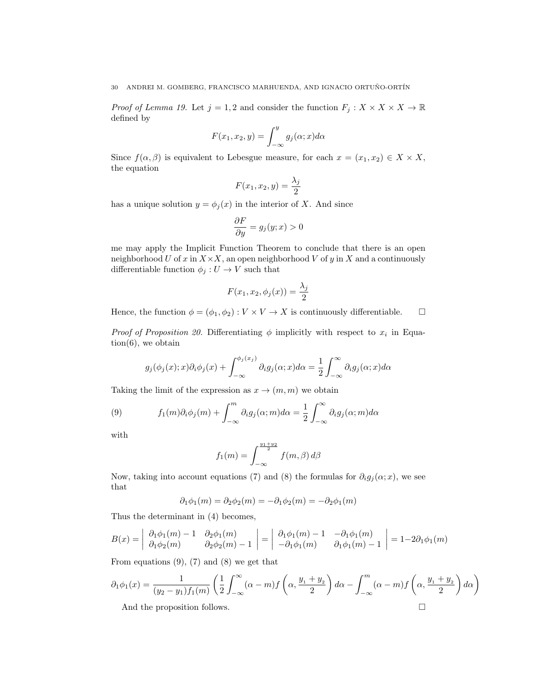*Proof of Lemma 19.* Let  $j = 1, 2$  and consider the function  $F_j : X \times X \times X \to \mathbb{R}$ defined by

$$
F(x_1, x_2, y) = \int_{-\infty}^{y} g_j(\alpha; x) d\alpha
$$

Since  $f(\alpha, \beta)$  is equivalent to Lebesgue measure, for each  $x = (x_1, x_2) \in X \times X$ , the equation

$$
F(x_1, x_2, y) = \frac{\lambda_j}{2}
$$

has a unique solution  $y = \phi_j(x)$  in the interior of X. And since

$$
\frac{\partial F}{\partial y} = g_j(y; x) > 0
$$

me may apply the Implicit Function Theorem to conclude that there is an open neighborhood U of x in  $X \times X$ , an open neighborhood V of y in X and a continuously differentiable function  $\phi_j: U \to V$  such that

$$
F(x_1, x_2, \phi_j(x)) = \frac{\lambda_j}{2}
$$

Hence, the function  $\phi = (\phi_1, \phi_2) : V \times V \to X$  is continuously differentiable.  $\square$ 

*Proof of Proposition 20.* Differentiating  $\phi$  implicitly with respect to  $x_i$  in Equa $tion(6)$ , we obtain

$$
g_j(\phi_j(x);x)\partial_i\phi_j(x) + \int_{-\infty}^{\phi_j(x_j)} \partial_i g_j(\alpha;x)d\alpha = \frac{1}{2} \int_{-\infty}^{\infty} \partial_i g_j(\alpha;x)d\alpha
$$

Taking the limit of the expression as  $x \to (m, m)$  we obtain

(9) 
$$
f_1(m)\partial_i\phi_j(m) + \int_{-\infty}^m \partial_i g_j(\alpha;m)d\alpha = \frac{1}{2} \int_{-\infty}^\infty \partial_i g_j(\alpha;m)d\alpha
$$

with

$$
f_1(m) = \int_{-\infty}^{\frac{y_1 + y_2}{2}} f(m, \beta) d\beta
$$

Now, taking into account equations (7) and (8) the formulas for  $\partial_i g_j(\alpha; x)$ , we see that

$$
\partial_1 \phi_1(m) = \partial_2 \phi_2(m) = -\partial_1 \phi_2(m) = -\partial_2 \phi_1(m)
$$

Thus the determinant in (4) becomes,

$$
B(x) = \begin{vmatrix} \partial_1 \phi_1(m) - 1 & \partial_2 \phi_1(m) \\ \partial_1 \phi_2(m) & \partial_2 \phi_2(m) - 1 \end{vmatrix} = \begin{vmatrix} \partial_1 \phi_1(m) - 1 & -\partial_1 \phi_1(m) \\ -\partial_1 \phi_1(m) & \partial_1 \phi_1(m) - 1 \end{vmatrix} = 1 - 2\partial_1 \phi_1(m)
$$

From equations  $(9)$ ,  $(7)$  and  $(8)$  we get that

$$
\partial_1 \phi_1(x) = \frac{1}{(y_2 - y_1)f_1(m)} \left( \frac{1}{2} \int_{-\infty}^{\infty} (\alpha - m) f\left( \alpha, \frac{y_1 + y_2}{2} \right) d\alpha - \int_{-\infty}^m (\alpha - m) f\left( \alpha, \frac{y_1 + y_2}{2} \right) d\alpha \right)
$$

And the proposition follows.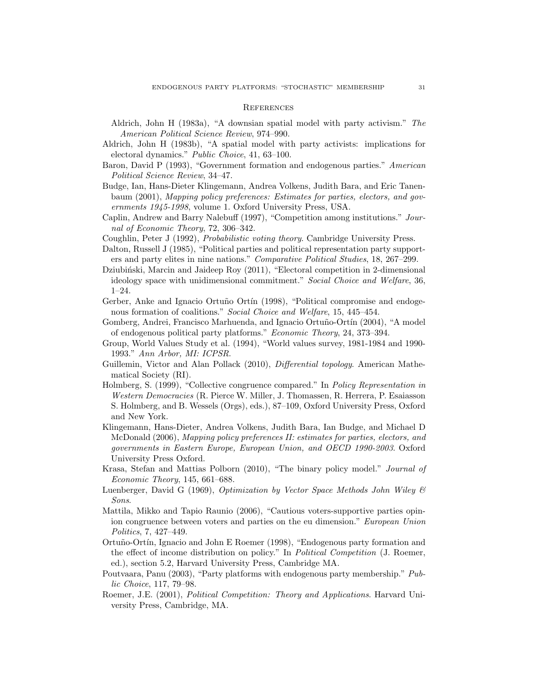### **REFERENCES**

- Aldrich, John H (1983a), "A downsian spatial model with party activism." The American Political Science Review, 974–990.
- Aldrich, John H (1983b), "A spatial model with party activists: implications for electoral dynamics." Public Choice, 41, 63–100.
- Baron, David P (1993), "Government formation and endogenous parties." American Political Science Review, 34–47.
- Budge, Ian, Hans-Dieter Klingemann, Andrea Volkens, Judith Bara, and Eric Tanenbaum (2001), Mapping policy preferences: Estimates for parties, electors, and governments 1945-1998, volume 1. Oxford University Press, USA.
- Caplin, Andrew and Barry Nalebuff (1997), "Competition among institutions." Journal of Economic Theory, 72, 306–342.
- Coughlin, Peter J (1992), Probabilistic voting theory. Cambridge University Press.
- Dalton, Russell J (1985), "Political parties and political representation party supporters and party elites in nine nations." Comparative Political Studies, 18, 267–299.
- Dziubiński, Marcin and Jaideep Roy (2011), "Electoral competition in 2-dimensional ideology space with unidimensional commitment." Social Choice and Welfare, 36, 1–24.
- Gerber, Anke and Ignacio Ortuño Ortín (1998), "Political compromise and endogenous formation of coalitions." Social Choice and Welfare, 15, 445–454.
- Gomberg, Andrei, Francisco Marhuenda, and Ignacio Ortuño-Ortín (2004), "A model of endogenous political party platforms." Economic Theory, 24, 373–394.
- Group, World Values Study et al. (1994), "World values survey, 1981-1984 and 1990- 1993." Ann Arbor, MI: ICPSR.
- Guillemin, Victor and Alan Pollack (2010), Differential topology. American Mathematical Society (RI).
- Holmberg, S. (1999), "Collective congruence compared." In Policy Representation in Western Democracies (R. Pierce W. Miller, J. Thomassen, R. Herrera, P. Esaiasson S. Holmberg, and B. Wessels (Orgs), eds.), 87–109, Oxford University Press, Oxford and New York.
- Klingemann, Hans-Dieter, Andrea Volkens, Judith Bara, Ian Budge, and Michael D McDonald (2006), Mapping policy preferences II: estimates for parties, electors, and governments in Eastern Europe, European Union, and OECD 1990-2003. Oxford University Press Oxford.
- Krasa, Stefan and Mattias Polborn (2010), "The binary policy model." Journal of Economic Theory, 145, 661–688.
- Luenberger, David G (1969), Optimization by Vector Space Methods John Wiley & Sons.
- Mattila, Mikko and Tapio Raunio (2006), "Cautious voters-supportive parties opinion congruence between voters and parties on the eu dimension." European Union Politics, 7, 427–449.
- Ortuño-Ortín, Ignacio and John E Roemer (1998), "Endogenous party formation and the effect of income distribution on policy." In Political Competition (J. Roemer, ed.), section 5.2, Harvard University Press, Cambridge MA.
- Poutvaara, Panu (2003), "Party platforms with endogenous party membership." Public Choice, 117, 79–98.
- Roemer, J.E. (2001), *Political Competition: Theory and Applications*. Harvard University Press, Cambridge, MA.